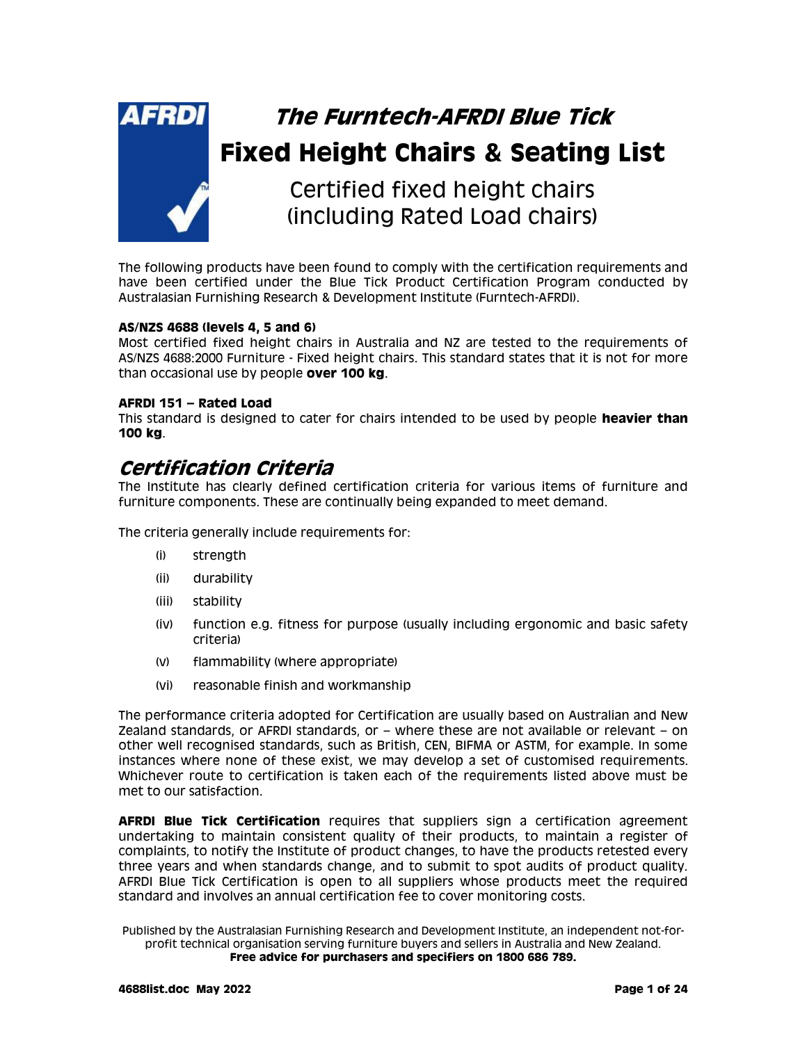

# **The Furntech-AFRDI Blue Tick Fixed Height Chairs & Seating List**

Certified fixed height chairs (including Rated Load chairs)

The following products have been found to comply with the certification requirements and have been certified under the Blue Tick Product Certification Program conducted by Australasian Furnishing Research & Development Institute (Furntech-AFRDI).

#### **AS/NZS 4688 (levels 4, 5 and 6)**

Most certified fixed height chairs in Australia and NZ are tested to the requirements of AS/NZS 4688:2000 Furniture - Fixed height chairs. This standard states that it is not for more than occasional use by people **over 100 kg**.

#### **AFRDI 151 – Rated Load**

This standard is designed to cater for chairs intended to be used by people **heavier than 100 kg**.

# **Certification Criteria**

The Institute has clearly defined certification criteria for various items of furniture and furniture components. These are continually being expanded to meet demand.

The criteria generally include requirements for:

- (i) strength
- (ii) durability
- (iii) stability
- (iv) function e.g. fitness for purpose (usually including ergonomic and basic safety criteria)
- (v) flammability (where appropriate)
- (vi) reasonable finish and workmanship

The performance criteria adopted for Certification are usually based on Australian and New Zealand standards, or AFRDI standards, or – where these are not available or relevant – on other well recognised standards, such as British, CEN, BIFMA or ASTM, for example. In some instances where none of these exist, we may develop a set of customised requirements. Whichever route to certification is taken each of the requirements listed above must be met to our satisfaction.

**AFRDI Blue Tick Certification** requires that suppliers sign a certification agreement undertaking to maintain consistent quality of their products, to maintain a register of complaints, to notify the Institute of product changes, to have the products retested every three years and when standards change, and to submit to spot audits of product quality. AFRDI Blue Tick Certification is open to all suppliers whose products meet the required standard and involves an annual certification fee to cover monitoring costs.

Published by the Australasian Furnishing Research and Development Institute, an independent not-forprofit technical organisation serving furniture buyers and sellers in Australia and New Zealand. **Free advice for purchasers and specifiers on 1800 686 789.**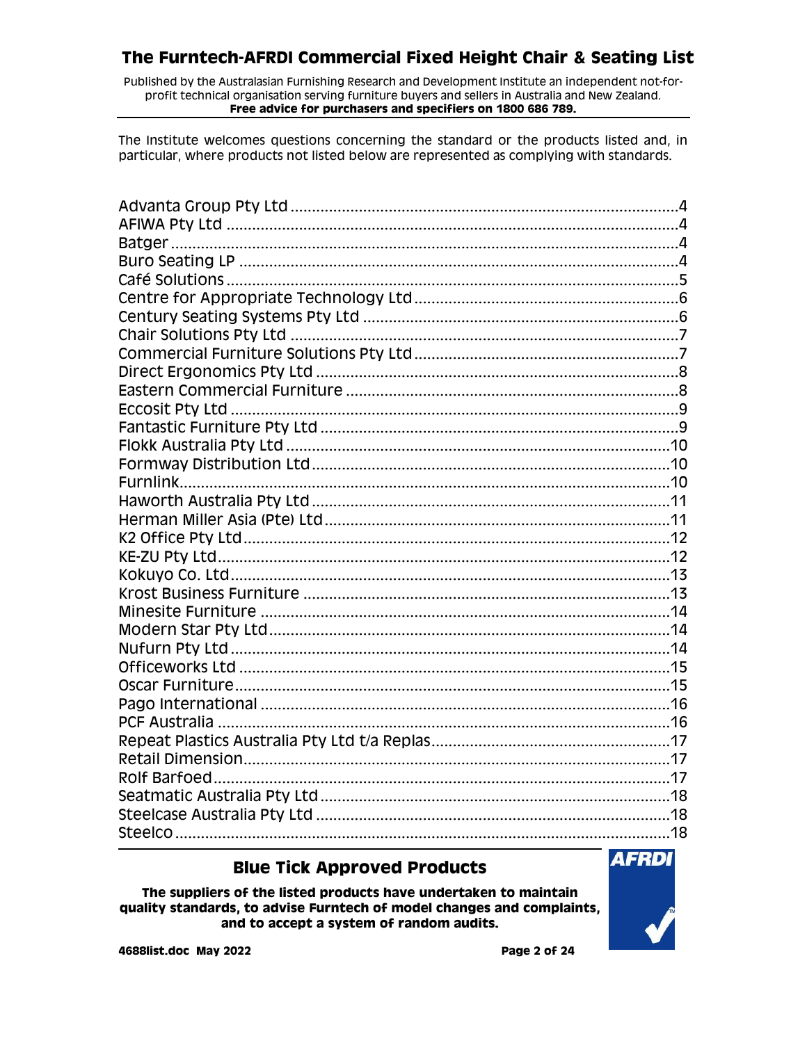Published by the Australasian Furnishing Research and Development Institute an independent not-forprofit technical organisation serving furniture buyers and sellers in Australia and New Zealand. Free advice for purchasers and specifiers on 1800 686 789.

The Institute welcomes questions concerning the standard or the products listed and, in particular, where products not listed below are represented as complying with standards.

#### **Blue Tick Approved Products**

The suppliers of the listed products have undertaken to maintain quality standards, to advise Furntech of model changes and complaints, and to accept a system of random audits.

**AFRDI**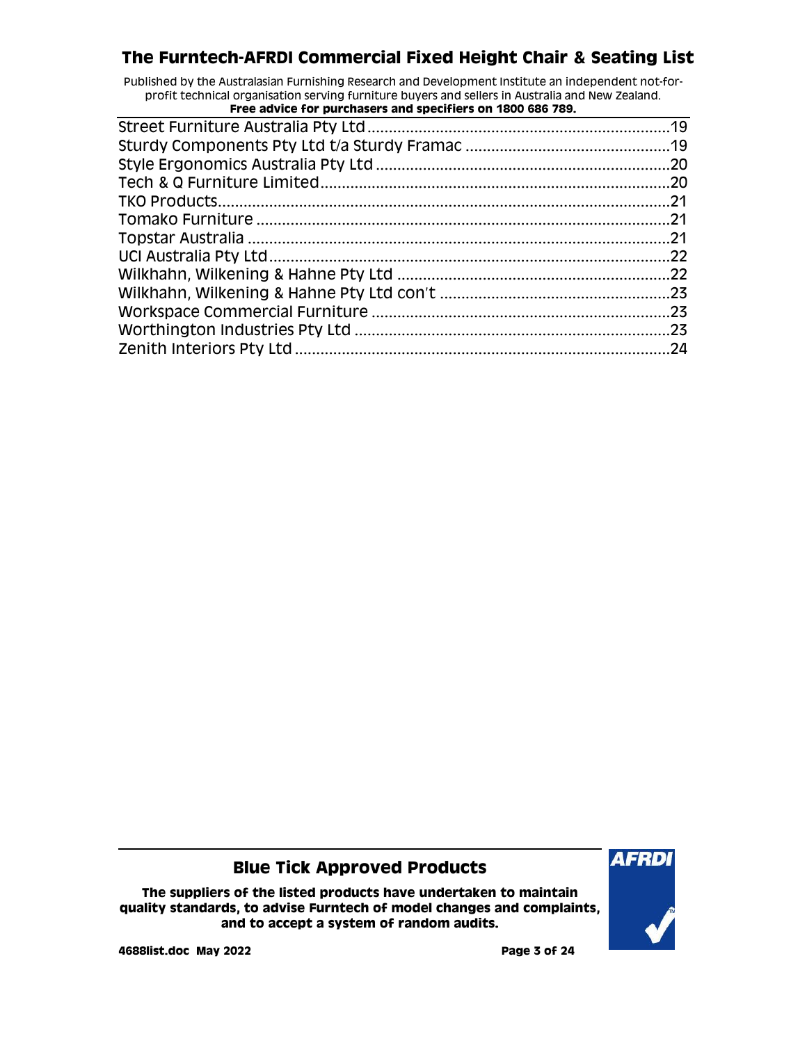Published by the Australasian Furnishing Research and Development Institute an independent not-forprofit technical organisation serving furniture buyers and sellers in Australia and New Zealand.<br>Exac advise for nurshasers and specifiers on 1900,696,790.

| Free advice for purchasers and specifiers on 1800 686 789. |     |
|------------------------------------------------------------|-----|
|                                                            | .19 |
|                                                            |     |
|                                                            |     |
|                                                            | .20 |
|                                                            | .21 |
|                                                            | .21 |
|                                                            | .21 |
|                                                            | .22 |
|                                                            | .22 |
|                                                            |     |
|                                                            | .23 |
|                                                            | .23 |
|                                                            | .24 |
|                                                            |     |

#### **Blue Tick Approved Products**

**The suppliers of the listed products have undertaken to maintain quality standards, to advise Furntech of model changes and complaints, and to accept a system of random audits.**



**4688list.doc May 2022 Page 3 of 24**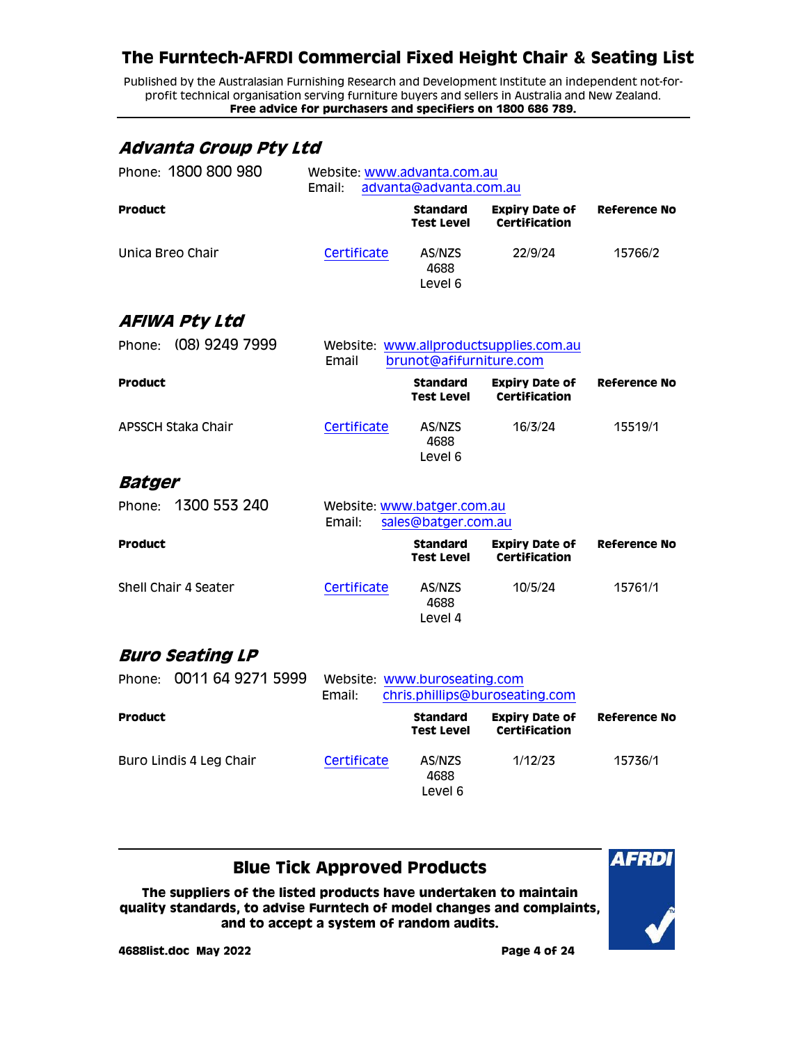Published by the Australasian Furnishing Research and Development Institute an independent not-forprofit technical organisation serving furniture buyers and sellers in Australia and New Zealand. **Free advice for purchasers and specifiers on 1800 686 789.**

### <span id="page-3-0"></span>**Advanta Group Pty Ltd**

| Phone: 1800 800 980      | Website: www.advanta.com.au<br>advanta@advanta.com.au<br>Email: |                               |                                        |              |  |
|--------------------------|-----------------------------------------------------------------|-------------------------------|----------------------------------------|--------------|--|
| Product                  |                                                                 | <b>Standard</b><br>Test Level | <b>Expiry Date of</b><br>Certification | Reference No |  |
| Unica Breo Chair         | Certificate                                                     | AS/NZS<br>4688<br>Level 6     | 22/9/24                                | 15766/2      |  |
| AFIWA Pty Ltd            |                                                                 |                               |                                        |              |  |
| (08) 9249 7999<br>Phone: | Email                                                           | brunot@afifurniture.com       | Website: www.allproductsupplies.com.au |              |  |
| <b>Product</b>           |                                                                 | <b>Standard</b><br>Test Level | <b>Expiry Date of</b><br>Certification | Reference No |  |

<span id="page-3-1"></span>

| APSSCH Staka Chair | Certificate | AS/NZS  | 16/3/24 | 15519/1 |
|--------------------|-------------|---------|---------|---------|
|                    |             | 4688    |         |         |
|                    |             | Level 6 |         |         |

#### <span id="page-3-2"></span>**Batger**

| Phone: 1300 553 240  | Email:      | Website: www.batger.com.au<br>sales@batger.com.au |                                        |              |  |
|----------------------|-------------|---------------------------------------------------|----------------------------------------|--------------|--|
| <b>Product</b>       |             | <b>Standard</b><br><b>Test Level</b>              | <b>Expiry Date of</b><br>Certification | Reference No |  |
| Shell Chair 4 Seater | Certificate | AS/NZS<br>4688<br>Level 4                         | 10/5/24                                | 15761/1      |  |

### <span id="page-3-3"></span>**Buro Seating LP**

| 0011 64 9271 5999<br>Phone: |                         | Email:      | Website: www.buroseating.com<br>chris.phillips@buroseating.com |                                        |                     |
|-----------------------------|-------------------------|-------------|----------------------------------------------------------------|----------------------------------------|---------------------|
| <b>Product</b>              |                         |             | <b>Standard</b><br><b>Test Level</b>                           | <b>Expiry Date of</b><br>Certification | <b>Reference No</b> |
|                             | Buro Lindis 4 Leg Chair | Certificate | AS/NZS<br>4688<br>Level 6                                      | 1/12/23                                | 15736/1             |

#### **Blue Tick Approved Products**

**The suppliers of the listed products have undertaken to maintain quality standards, to advise Furntech of model changes and complaints, and to accept a system of random audits.**

**AFRDI**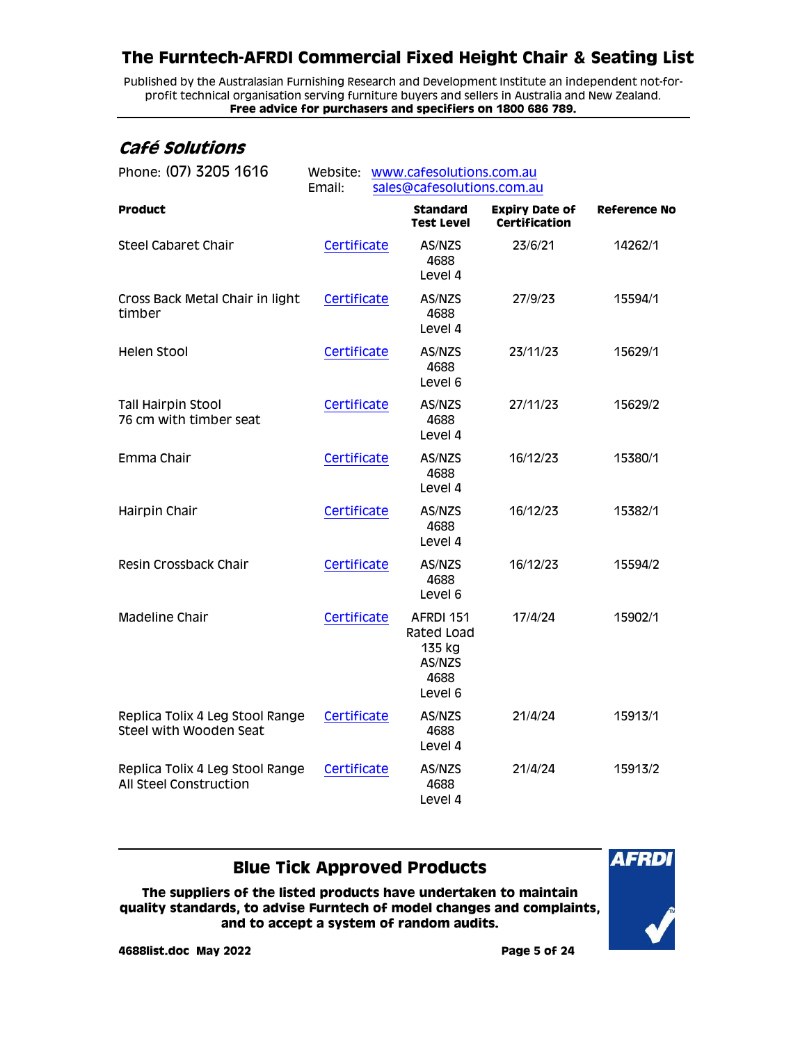Published by the Australasian Furnishing Research and Development Institute an independent not-forprofit technical organisation serving furniture buyers and sellers in Australia and New Zealand. **Free advice for purchasers and specifiers on 1800 686 789.**

### <span id="page-4-0"></span>**Café Solutions**

| Phone: (07) 3205 1616                                     | Website:<br>Email: | www.cafesolutions.com.au<br>sales@cafesolutions.com.au         |                                        |                     |  |
|-----------------------------------------------------------|--------------------|----------------------------------------------------------------|----------------------------------------|---------------------|--|
| <b>Product</b>                                            |                    | <b>Standard</b><br><b>Test Level</b>                           | <b>Expiry Date of</b><br>Certification | <b>Reference No</b> |  |
| <b>Steel Cabaret Chair</b>                                | Certificate        | AS/NZS<br>4688<br>Level 4                                      | 23/6/21                                | 14262/1             |  |
| Cross Back Metal Chair in light<br>timber                 | Certificate        | AS/NZS<br>4688<br>Level 4                                      | 27/9/23                                | 15594/1             |  |
| Helen Stool                                               | Certificate        | AS/NZS<br>4688<br>Level 6                                      | 23/11/23                               | 15629/1             |  |
| <b>Tall Hairpin Stool</b><br>76 cm with timber seat       | Certificate        | AS/NZS<br>4688<br>Level 4                                      | 27/11/23                               | 15629/2             |  |
| Emma Chair                                                | Certificate        | AS/NZS<br>4688<br>Level 4                                      | 16/12/23                               | 15380/1             |  |
| Hairpin Chair                                             | Certificate        | AS/NZS<br>4688<br>Level 4                                      | 16/12/23                               | 15382/1             |  |
| Resin Crossback Chair                                     | Certificate        | AS/NZS<br>4688<br>Level 6                                      | 16/12/23                               | 15594/2             |  |
| Madeline Chair                                            | Certificate        | AFRDI 151<br>Rated Load<br>135 kg<br>AS/NZS<br>4688<br>Level 6 | 17/4/24                                | 15902/1             |  |
| Replica Tolix 4 Leg Stool Range<br>Steel with Wooden Seat | Certificate        | AS/NZS<br>4688<br>Level 4                                      | 21/4/24                                | 15913/1             |  |
| Replica Tolix 4 Leg Stool Range<br>All Steel Construction | Certificate        | AS/NZS<br>4688<br>Level 4                                      | 21/4/24                                | 15913/2             |  |

#### **Blue Tick Approved Products**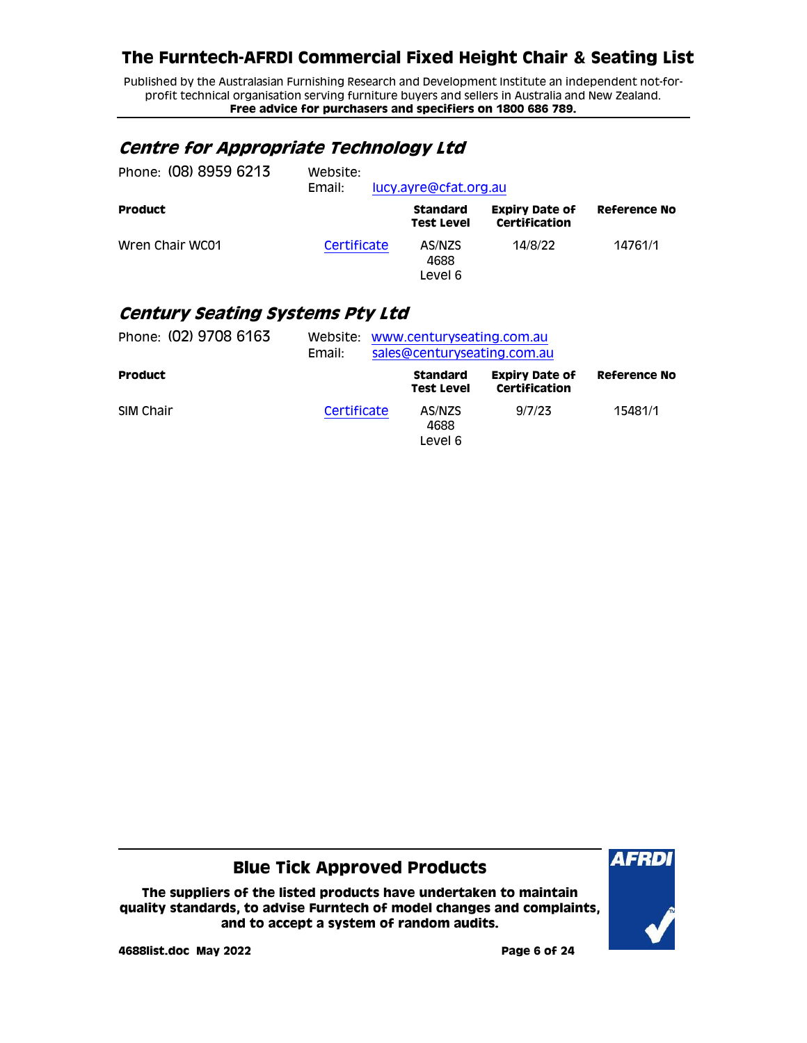Published by the Australasian Furnishing Research and Development Institute an independent not-forprofit technical organisation serving furniture buyers and sellers in Australia and New Zealand. **Free advice for purchasers and specifiers on 1800 686 789.**

### <span id="page-5-0"></span>**Centre for Appropriate Technology Ltd**

| Phone: (08) 8959 6213 | Website:<br>Email: | lucy.ayre@cfat.org.au |                                      |                                        |              |  |
|-----------------------|--------------------|-----------------------|--------------------------------------|----------------------------------------|--------------|--|
| <b>Product</b>        |                    |                       | <b>Standard</b><br><b>Test Level</b> | <b>Expiry Date of</b><br>Certification | Reference No |  |
| Wren Chair WC01       | Certificate        |                       | AS/NZS<br>4688<br>Level 6            | 14/8/22                                | 14761/1      |  |

#### <span id="page-5-1"></span>**Century Seating Systems Pty Ltd**

| Phone: (02) 9708 6163 | Email:      | Website: www.centuryseating.com.au<br>sales@centuryseating.com.au |                                        |              |  |
|-----------------------|-------------|-------------------------------------------------------------------|----------------------------------------|--------------|--|
| <b>Product</b>        |             | <b>Standard</b><br><b>Test Level</b>                              | <b>Expiry Date of</b><br>Certification | Reference No |  |
| SIM Chair             | Certificate | AS/NZS<br>4688<br>Level 6                                         | 9/7/23                                 | 15481/1      |  |

#### **Blue Tick Approved Products**

**The suppliers of the listed products have undertaken to maintain quality standards, to advise Furntech of model changes and complaints, and to accept a system of random audits.**



**4688list.doc May 2022 Page 6 of 24**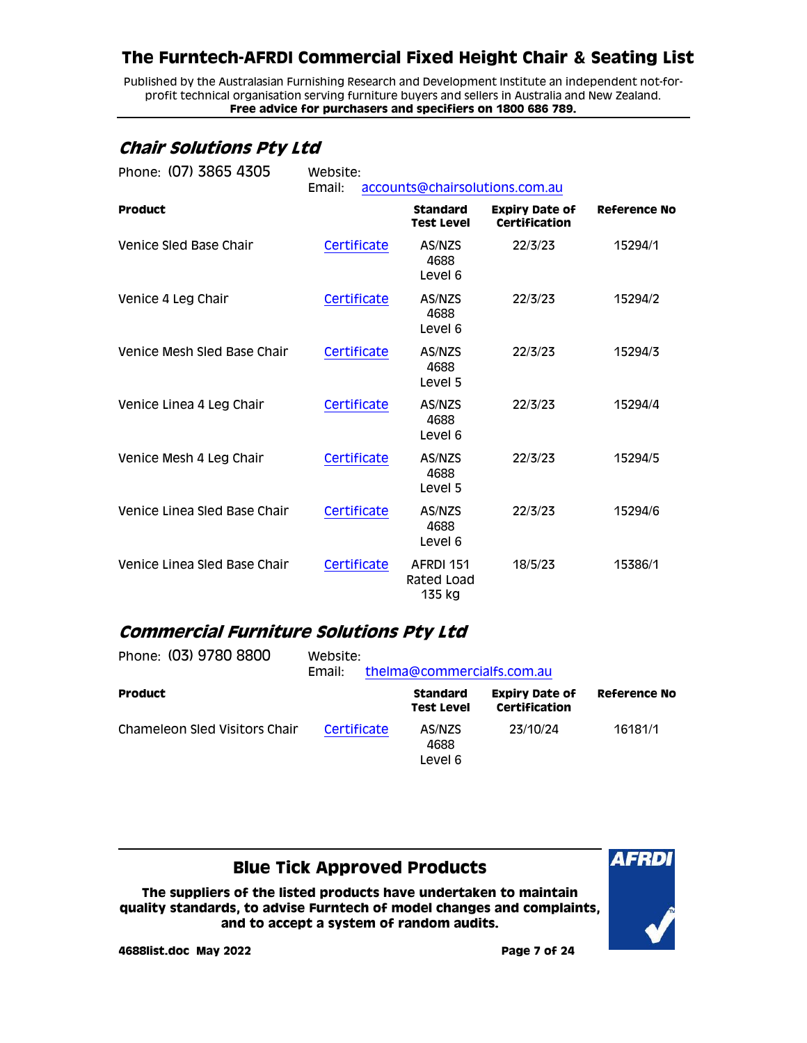Published by the Australasian Furnishing Research and Development Institute an independent not-forprofit technical organisation serving furniture buyers and sellers in Australia and New Zealand. **Free advice for purchasers and specifiers on 1800 686 789.**

### <span id="page-6-0"></span>**Chair Solutions Pty Ltd**

| Phone: (07) 3865 4305        | Website:<br>Email: |                                      | accounts@chairsolutions.com.au                |                     |
|------------------------------|--------------------|--------------------------------------|-----------------------------------------------|---------------------|
| <b>Product</b>               |                    | <b>Standard</b><br><b>Test Level</b> | <b>Expiry Date of</b><br><b>Certification</b> | <b>Reference No</b> |
| Venice Sled Base Chair       | Certificate        | AS/NZS<br>4688<br>Level 6            | 22/3/23                                       | 15294/1             |
| Venice 4 Leg Chair           | Certificate        | AS/NZS<br>4688<br>Level 6            | 22/3/23                                       | 15294/2             |
| Venice Mesh Sled Base Chair  | Certificate        | AS/NZS<br>4688<br>Level 5            | 22/3/23                                       | 15294/3             |
| Venice Linea 4 Leg Chair     | Certificate        | AS/NZS<br>4688<br>Level 6            | 22/3/23                                       | 15294/4             |
| Venice Mesh 4 Leg Chair      | Certificate        | AS/NZS<br>4688<br>Level 5            | 22/3/23                                       | 15294/5             |
| Venice Linea Sled Base Chair | Certificate        | AS/NZS<br>4688<br>Level 6            | 22/3/23                                       | 15294/6             |
| Venice Linea Sled Base Chair | Certificate        | AFRDI 151<br>Rated Load<br>135 kg    | 18/5/23                                       | 15386/1             |

### <span id="page-6-1"></span>**Commercial Furniture Solutions Pty Ltd**

| Phone: (03) 9780 8800         | Website:<br>Email: | thelma@commercialfs.com.au           |                                        |                     |
|-------------------------------|--------------------|--------------------------------------|----------------------------------------|---------------------|
| <b>Product</b>                |                    | <b>Standard</b><br><b>Test Level</b> | <b>Expiry Date of</b><br>Certification | <b>Reference No</b> |
| Chameleon Sled Visitors Chair | Certificate        | AS/NZS<br>4688<br>Level 6            | 23/10/24                               | 16181/1             |

#### **Blue Tick Approved Products**

**The suppliers of the listed products have undertaken to maintain quality standards, to advise Furntech of model changes and complaints, and to accept a system of random audits.**



**4688list.doc May 2022 Page 7 of 24**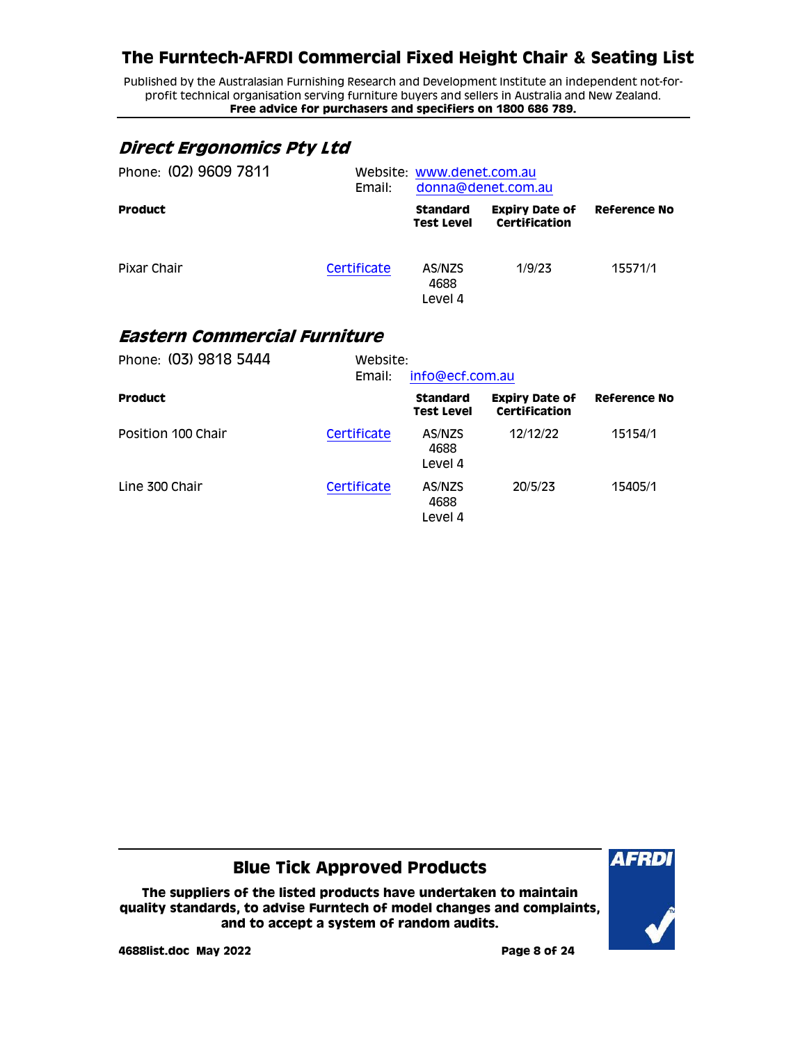Published by the Australasian Furnishing Research and Development Institute an independent not-forprofit technical organisation serving furniture buyers and sellers in Australia and New Zealand. **Free advice for purchasers and specifiers on 1800 686 789.**

### <span id="page-7-0"></span>**Direct Ergonomics Pty Ltd**

| Phone: (02) 9609 7811 | Email:      | Website: www.denet.com.au<br>donna@denet.com.au |                                        |                     |
|-----------------------|-------------|-------------------------------------------------|----------------------------------------|---------------------|
| <b>Product</b>        |             | <b>Standard</b><br><b>Test Level</b>            | <b>Expiry Date of</b><br>Certification | <b>Reference No</b> |
| Pixar Chair           | Certificate | AS/NZS<br>4688<br>Level 4                       | 1/9/23                                 | 15571/1             |

#### <span id="page-7-1"></span>**Eastern Commercial Furniture**

| Phone: (03) 9818 5444 | Website:<br>Email: | info@ecf.com.au                      |                                        |              |  |
|-----------------------|--------------------|--------------------------------------|----------------------------------------|--------------|--|
| <b>Product</b>        |                    | <b>Standard</b><br><b>Test Level</b> | <b>Expiry Date of</b><br>Certification | Reference No |  |
| Position 100 Chair    | Certificate        | AS/NZS<br>4688<br>Level 4            | 12/12/22                               | 15154/1      |  |
| Line 300 Chair        | Certificate        | AS/NZS<br>4688<br>Level 4            | 20/5/23                                | 15405/1      |  |

#### **Blue Tick Approved Products**

**The suppliers of the listed products have undertaken to maintain quality standards, to advise Furntech of model changes and complaints, and to accept a system of random audits.**



**4688list.doc May 2022 Page 8 of 24**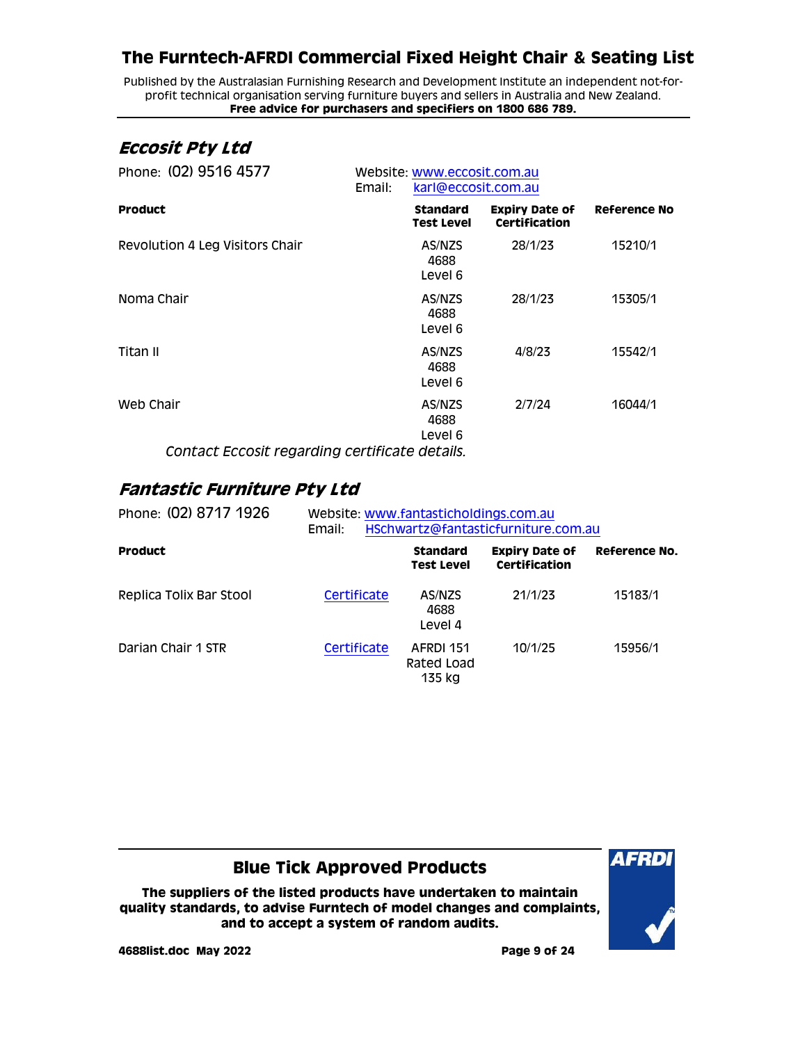Published by the Australasian Furnishing Research and Development Institute an independent not-forprofit technical organisation serving furniture buyers and sellers in Australia and New Zealand. **Free advice for purchasers and specifiers on 1800 686 789.**

#### <span id="page-8-0"></span>**Eccosit Pty Ltd**

| Phone: (02) 9516 4577                          | Email: | Website: www.eccosit.com.au<br>karl@eccosit.com.au |                                               |              |  |
|------------------------------------------------|--------|----------------------------------------------------|-----------------------------------------------|--------------|--|
| <b>Product</b>                                 |        | <b>Standard</b><br>Test Level                      | <b>Expiry Date of</b><br><b>Certification</b> | Reference No |  |
| Revolution 4 Leg Visitors Chair                |        | AS/NZS<br>4688<br>Level 6                          | 28/1/23                                       | 15210/1      |  |
| Noma Chair                                     |        | AS/NZS<br>4688<br>Level 6                          | 28/1/23                                       | 15305/1      |  |
| Titan II                                       |        | AS/NZS<br>4688<br>Level 6                          | 4/8/23                                        | 15542/1      |  |
| Web Chair                                      |        | AS/NZS<br>4688<br>Level 6                          | 2/7/24                                        | 16044/1      |  |
| Contact Eccosit regarding certificate details. |        |                                                    |                                               |              |  |

## <span id="page-8-1"></span>**Fantastic Furniture Pty Ltd**

| Phone: (02) 8717 1926   | Website: www.fantasticholdings.com.au<br>HSchwartz@fantasticfurniture.com.au<br>Email: |                                      |                                        |               |
|-------------------------|----------------------------------------------------------------------------------------|--------------------------------------|----------------------------------------|---------------|
| <b>Product</b>          |                                                                                        | <b>Standard</b><br><b>Test Level</b> | <b>Expiry Date of</b><br>Certification | Reference No. |
| Replica Tolix Bar Stool | Certificate                                                                            | AS/NZS<br>4688<br>Level 4            | 21/1/23                                | 15183/1       |
| Darian Chair 1 STR      | Certificate                                                                            | AFRDI 151<br>Rated Load<br>135 kg    | 10/1/25                                | 15956/1       |

#### **Blue Tick Approved Products**

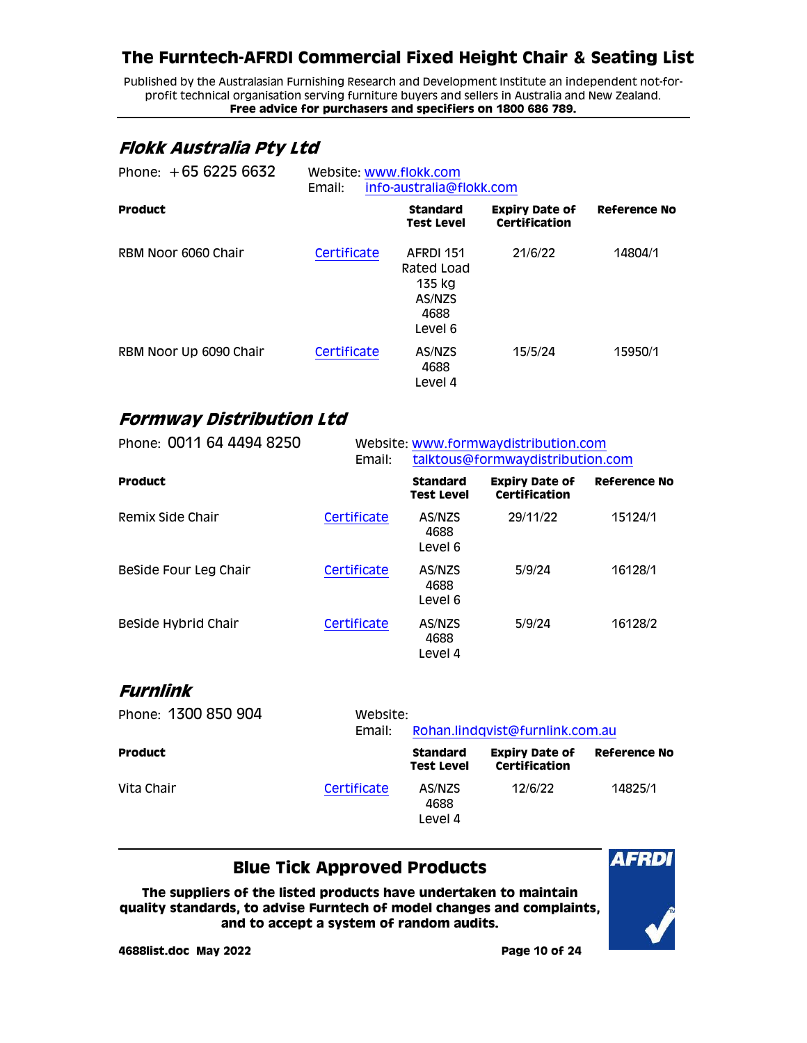Published by the Australasian Furnishing Research and Development Institute an independent not-forprofit technical organisation serving furniture buyers and sellers in Australia and New Zealand. **Free advice for purchasers and specifiers on 1800 686 789.**

### <span id="page-9-0"></span>**Flokk Australia Pty Ltd**

| Phone: $+6562256632$   | Website: www.flokk.com<br>info-australia@flokk.com<br>Email: |                                                                |                                        |                     |  |
|------------------------|--------------------------------------------------------------|----------------------------------------------------------------|----------------------------------------|---------------------|--|
| <b>Product</b>         |                                                              | <b>Standard</b><br><b>Test Level</b>                           | <b>Expiry Date of</b><br>Certification | <b>Reference No</b> |  |
| RBM Noor 6060 Chair    | Certificate                                                  | AFRDI 151<br>Rated Load<br>135 kg<br>AS/NZS<br>4688<br>Level 6 | 21/6/22                                | 14804/1             |  |
| RBM Noor Up 6090 Chair | Certificate                                                  | AS/NZS<br>4688<br>Level 4                                      | 15/5/24                                | 15950/1             |  |

#### <span id="page-9-1"></span>**Formway Distribution Ltd**

| Phone: 0011 64 4494 8250 | Email:      |                                      | Website: www.formwaydistribution.com<br>talktous@formwaydistribution.com |              |  |
|--------------------------|-------------|--------------------------------------|--------------------------------------------------------------------------|--------------|--|
| <b>Product</b>           |             | <b>Standard</b><br><b>Test Level</b> | <b>Expiry Date of</b><br>Certification                                   | Reference No |  |
| Remix Side Chair         | Certificate | AS/NZS<br>4688<br>Level 6            | 29/11/22                                                                 | 15124/1      |  |
| Beside Four Leg Chair    | Certificate | AS/NZS<br>4688<br>Level 6            | 5/9/24                                                                   | 16128/1      |  |
| Beside Hybrid Chair      | Certificate | AS/NZS<br>4688<br>Level 4            | 5/9/24                                                                   | 16128/2      |  |

#### <span id="page-9-2"></span>**Furnlink**

| Phone: 1300 850 904 | Website:<br>Email: |                                      | Rohan.lindqvist@furnlink.com.au        |              |  |
|---------------------|--------------------|--------------------------------------|----------------------------------------|--------------|--|
| <b>Product</b>      |                    | <b>Standard</b><br><b>Test Level</b> | <b>Expiry Date of</b><br>Certification | Reference No |  |
| Vita Chair          | Certificate        | AS/NZS<br>4688<br>Level 4            | 12/6/22                                | 14825/1      |  |

#### **Blue Tick Approved Products**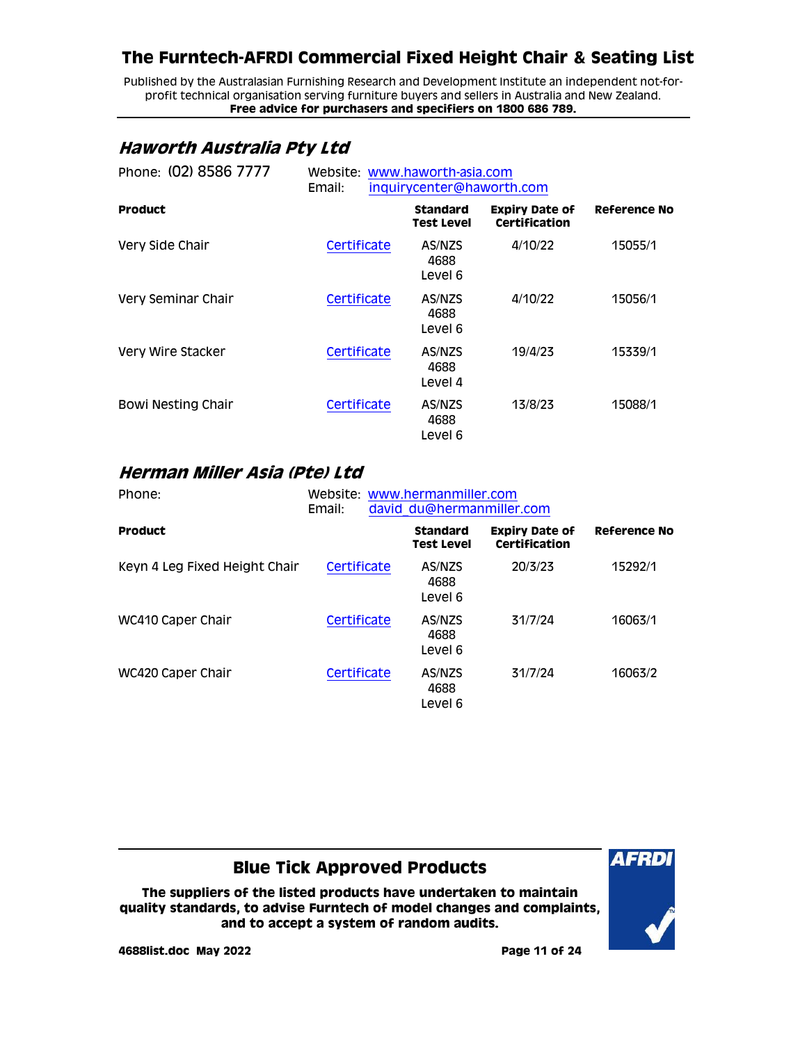Published by the Australasian Furnishing Research and Development Institute an independent not-forprofit technical organisation serving furniture buyers and sellers in Australia and New Zealand. **Free advice for purchasers and specifiers on 1800 686 789.**

### <span id="page-10-0"></span>**Haworth Australia Pty Ltd**

| Phone: (02) 8586 7777     | Email:      | Website: www.haworth-asia.com<br>inquirycenter@haworth.com |                                               |              |  |
|---------------------------|-------------|------------------------------------------------------------|-----------------------------------------------|--------------|--|
| <b>Product</b>            |             | <b>Standard</b><br><b>Test Level</b>                       | <b>Expiry Date of</b><br><b>Certification</b> | Reference No |  |
| Very Side Chair           | Certificate | AS/NZS<br>4688<br>Level 6                                  | 4/10/22                                       | 15055/1      |  |
| Very Seminar Chair        | Certificate | AS/NZS<br>4688<br>Level 6                                  | 4/10/22                                       | 15056/1      |  |
| Very Wire Stacker         | Certificate | AS/NZS<br>4688<br>Level 4                                  | 19/4/23                                       | 15339/1      |  |
| <b>Bowi Nesting Chair</b> | Certificate | AS/NZS<br>4688<br>Level 6                                  | 13/8/23                                       | 15088/1      |  |

#### <span id="page-10-1"></span>**Herman Miller Asia (Pte) Ltd**

| Phone:                        | Website: www.hermanmiller.com<br>Email: | david du@hermanmiller.com            |                                        |              |
|-------------------------------|-----------------------------------------|--------------------------------------|----------------------------------------|--------------|
| <b>Product</b>                |                                         | <b>Standard</b><br><b>Test Level</b> | <b>Expiry Date of</b><br>Certification | Reference No |
| Keyn 4 Leg Fixed Height Chair | Certificate                             | AS/NZS<br>4688<br>Level 6            | 20/3/23                                | 15292/1      |
| WC410 Caper Chair             | Certificate                             | AS/NZS<br>4688<br>Level 6            | 31/7/24                                | 16063/1      |
| WC420 Caper Chair             | Certificate                             | AS/NZS<br>4688<br>Level 6            | 31/7/24                                | 16063/2      |

#### **Blue Tick Approved Products**

**The suppliers of the listed products have undertaken to maintain quality standards, to advise Furntech of model changes and complaints, and to accept a system of random audits.**



**4688list.doc May 2022 Page 11 of 24**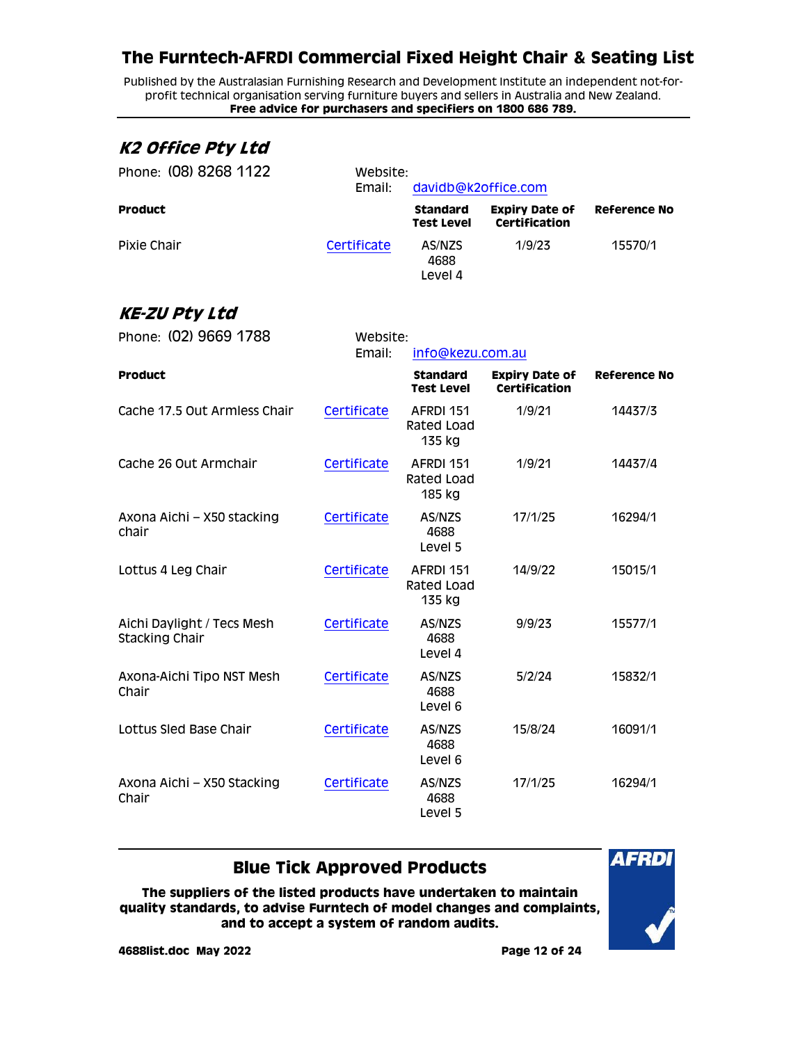Published by the Australasian Furnishing Research and Development Institute an independent not-forprofit technical organisation serving furniture buyers and sellers in Australia and New Zealand. **Free advice for purchasers and specifiers on 1800 686 789.**

#### <span id="page-11-0"></span>**K2 Office Pty Ltd**

| Phone: (08) 8268 1122 | Website:<br>Email: | davidb@k2office.com                  |                                        |                     |
|-----------------------|--------------------|--------------------------------------|----------------------------------------|---------------------|
| <b>Product</b>        |                    | <b>Standard</b><br><b>Test Level</b> | <b>Expiry Date of</b><br>Certification | <b>Reference No</b> |
| Pixie Chair           | Certificate        | AS/NZS<br>4688<br>Level 4            | 1/9/23                                 | 15570/1             |

### <span id="page-11-1"></span>**KE-ZU Pty Ltd**

| Phone: (02) 9669 1788                               | Website:<br>Email: | info@kezu.com.au                     |                                               |                     |
|-----------------------------------------------------|--------------------|--------------------------------------|-----------------------------------------------|---------------------|
| <b>Product</b>                                      |                    | <b>Standard</b><br><b>Test Level</b> | <b>Expiry Date of</b><br><b>Certification</b> | <b>Reference No</b> |
| Cache 17.5 Out Armless Chair                        | Certificate        | AFRDI 151<br>Rated Load<br>135 kg    | 1/9/21                                        | 14437/3             |
| Cache 26 Out Armchair                               | Certificate        | AFRDI 151<br>Rated Load<br>185 kg    | 1/9/21                                        | 14437/4             |
| Axona Aichi - X50 stacking<br>chair                 | Certificate        | AS/NZS<br>4688<br>Level 5            | 17/1/25                                       | 16294/1             |
| Lottus 4 Leg Chair                                  | Certificate        | AFRDI 151<br>Rated Load<br>135 kg    | 14/9/22                                       | 15015/1             |
| Aichi Daylight / Tecs Mesh<br><b>Stacking Chair</b> | Certificate        | AS/NZS<br>4688<br>Level 4            | 9/9/23                                        | 15577/1             |
| Axona-Aichi Tipo NST Mesh<br>Chair                  | Certificate        | AS/NZS<br>4688<br>Level 6            | 5/2/24                                        | 15832/1             |
| Lottus Sled Base Chair                              | Certificate        | AS/NZS<br>4688<br>Level 6            | 15/8/24                                       | 16091/1             |
| Axona Aichi - X50 Stacking<br>Chair                 | Certificate        | AS/NZS<br>4688<br>Level 5            | 17/1/25                                       | 16294/1             |

#### **Blue Tick Approved Products**

**The suppliers of the listed products have undertaken to maintain quality standards, to advise Furntech of model changes and complaints, and to accept a system of random audits.**



**4688list.doc May 2022 Page 12 of 24**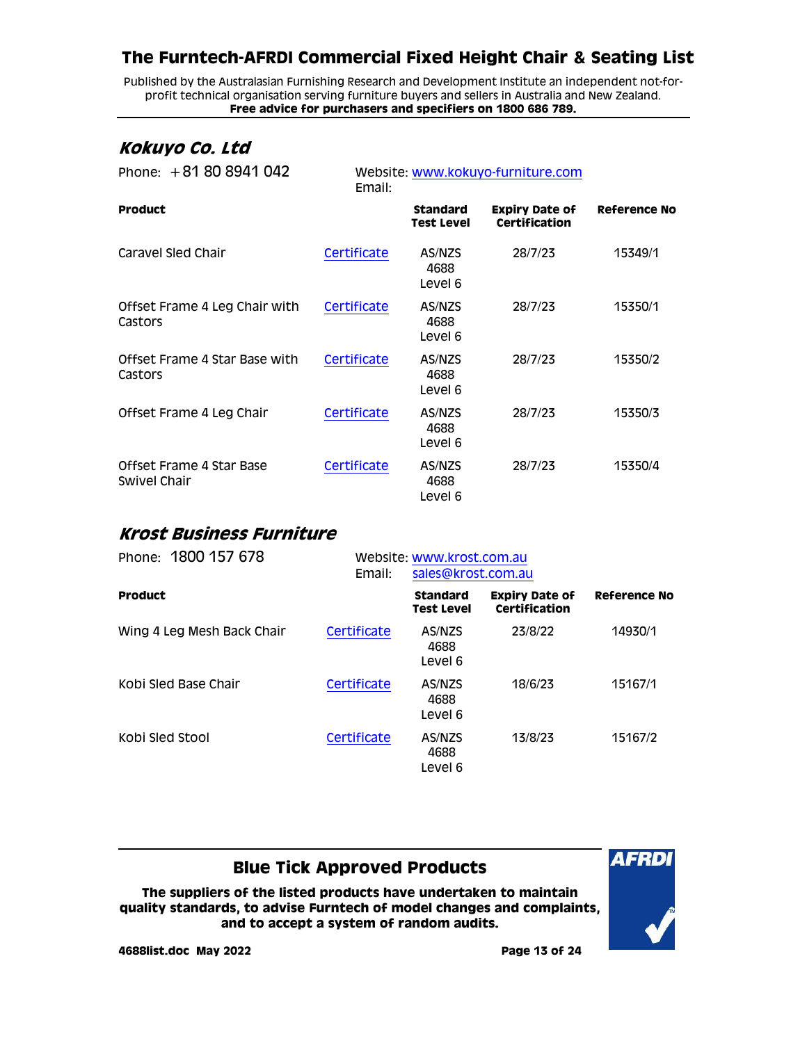Published by the Australasian Furnishing Research and Development Institute an independent not-forprofit technical organisation serving furniture buyers and sellers in Australia and New Zealand. **Free advice for purchasers and specifiers on 1800 686 789.**

### <span id="page-12-0"></span>**Kokuyo Co. Ltd**

| Phone: $+81808941042$                    | Website: www.kokuyo-furniture.com<br>Email: |                                      |                                               |                     |
|------------------------------------------|---------------------------------------------|--------------------------------------|-----------------------------------------------|---------------------|
| <b>Product</b>                           |                                             | <b>Standard</b><br><b>Test Level</b> | <b>Expiry Date of</b><br><b>Certification</b> | <b>Reference No</b> |
| Caravel Sled Chair                       | Certificate                                 | AS/NZS<br>4688<br>Level 6            | 28/7/23                                       | 15349/1             |
| Offset Frame 4 Leg Chair with<br>Castors | Certificate                                 | AS/NZS<br>4688<br>Level 6            | 28/7/23                                       | 15350/1             |
| Offset Frame 4 Star Base with<br>Castors | Certificate                                 | AS/NZS<br>4688<br>Level 6            | 28/7/23                                       | 15350/2             |
| Offset Frame 4 Leg Chair                 | Certificate                                 | AS/NZS<br>4688<br>Level 6            | 28/7/23                                       | 15350/3             |
| Offset Frame 4 Star Base<br>Swivel Chair | Certificate                                 | AS/NZS<br>4688<br>Level 6            | 28/7/23                                       | 15350/4             |

### <span id="page-12-1"></span>**Krost Business Furniture**

| Phone: 1800 157 678        | Email:      | Website: www.krost.com.au<br>sales@krost.com.au |                                        |              |  |
|----------------------------|-------------|-------------------------------------------------|----------------------------------------|--------------|--|
| <b>Product</b>             |             | <b>Standard</b><br><b>Test Level</b>            | <b>Expiry Date of</b><br>Certification | Reference No |  |
| Wing 4 Leg Mesh Back Chair | Certificate | AS/NZS<br>4688<br>Level 6                       | 23/8/22                                | 14930/1      |  |
| Kobi Sled Base Chair       | Certificate | AS/NZS<br>4688<br>Level 6                       | 18/6/23                                | 15167/1      |  |
| Kobi Sled Stool            | Certificate | AS/NZS<br>4688<br>Level 6                       | 13/8/23                                | 15167/2      |  |

#### **Blue Tick Approved Products**

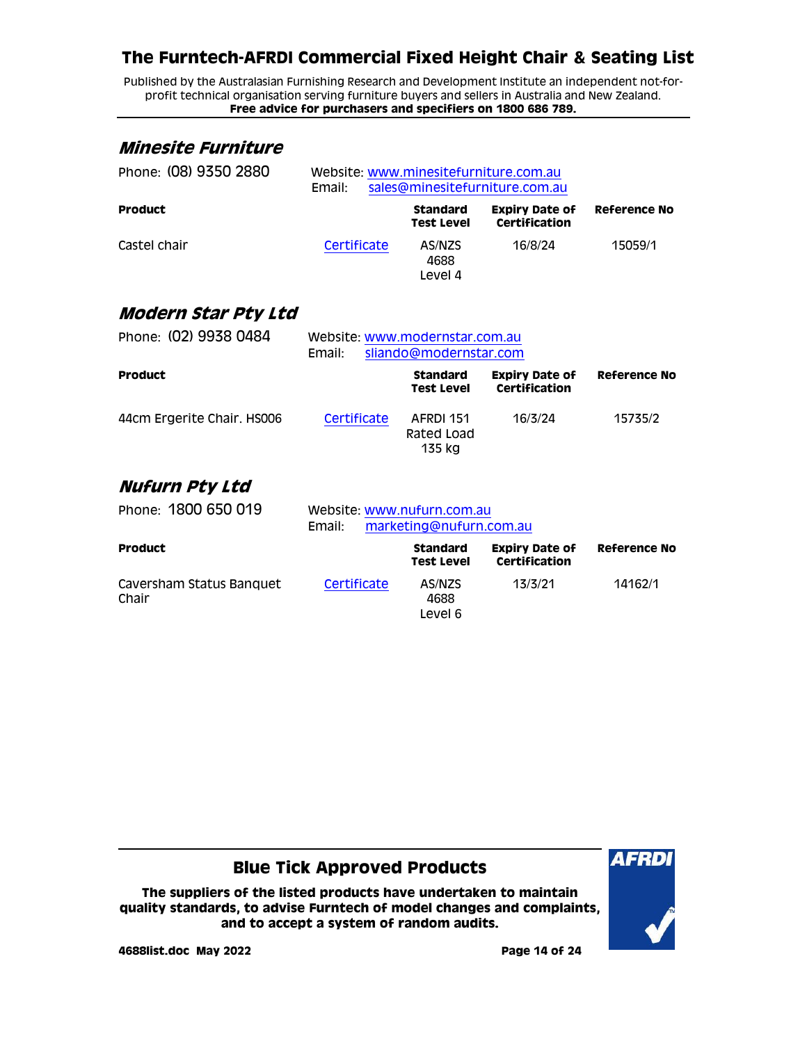Published by the Australasian Furnishing Research and Development Institute an independent not-forprofit technical organisation serving furniture buyers and sellers in Australia and New Zealand. **Free advice for purchasers and specifiers on 1800 686 789.**

#### <span id="page-13-0"></span>**Minesite Furniture**

| Phone: (08) 9350 2880 | Website: www.minesitefurniture.com.au<br>sales@minesitefurniture.com.au<br>Email: |                                      |                                        |                     |
|-----------------------|-----------------------------------------------------------------------------------|--------------------------------------|----------------------------------------|---------------------|
| <b>Product</b>        |                                                                                   | <b>Standard</b><br><b>Test Level</b> | <b>Expiry Date of</b><br>Certification | <b>Reference No</b> |
| Castel chair          | Certificate                                                                       | AS/NZS<br>4688<br>Level 4            | 16/8/24                                | 15059/1             |

#### <span id="page-13-1"></span>**Modern Star Pty Ltd**

| Phone: (02) 9938 0484      | Email:      | Website: www.modernstar.com.au<br>sliando@modernstar.com |                                        |              |  |  |
|----------------------------|-------------|----------------------------------------------------------|----------------------------------------|--------------|--|--|
| <b>Product</b>             |             | <b>Standard</b><br>Test Level                            | <b>Expiry Date of</b><br>Certification | Reference No |  |  |
| 44cm Ergerite Chair. HS006 | Certificate | AFRDI 151<br>Rated Load<br>135 kg                        | 16/3/24                                | 15735/2      |  |  |

#### <span id="page-13-2"></span>**Nufurn Pty Ltd**

| Phone: 1800 650 019               | Website: www.nufurn.com.au<br>marketing@nufurn.com.au<br>Email: |                                      |                                        |                     |  |
|-----------------------------------|-----------------------------------------------------------------|--------------------------------------|----------------------------------------|---------------------|--|
| <b>Product</b>                    |                                                                 | <b>Standard</b><br><b>Test Level</b> | <b>Expiry Date of</b><br>Certification | <b>Reference No</b> |  |
| Caversham Status Banquet<br>Chair | Certificate                                                     | AS/NZS<br>4688<br>Level 6            | 13/3/21                                | 14162/1             |  |

#### **Blue Tick Approved Products**

**The suppliers of the listed products have undertaken to maintain quality standards, to advise Furntech of model changes and complaints, and to accept a system of random audits.**



**4688list.doc May 2022 Page 14 of 24**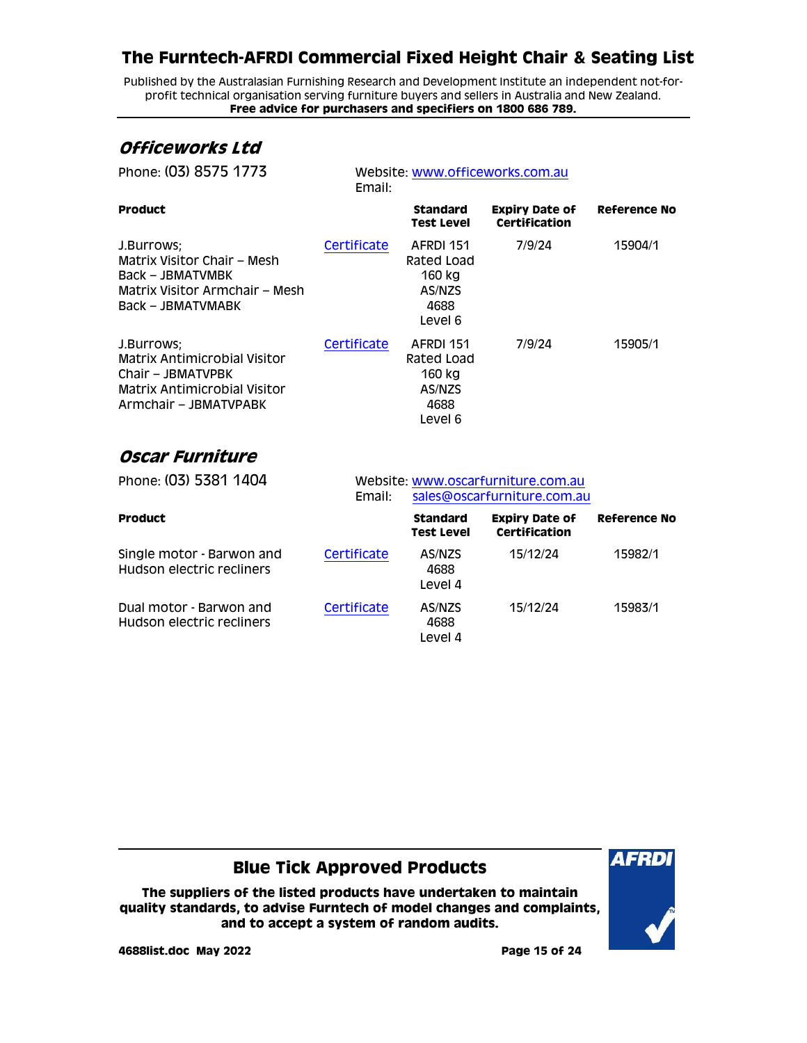Published by the Australasian Furnishing Research and Development Institute an independent not-forprofit technical organisation serving furniture buyers and sellers in Australia and New Zealand. **Free advice for purchasers and specifiers on 1800 686 789.**

#### <span id="page-14-0"></span>**Officeworks Ltd**

Phone: (03) 8575 1773 Website: [www.officeworks.com.au](http://www.officeworks.com.au/) Email:

| <b>Product</b>                                                                                                           |             | <b>Standard</b><br><b>Test Level</b>                           | <b>Expiry Date of</b><br><b>Certification</b> | <b>Reference No</b> |
|--------------------------------------------------------------------------------------------------------------------------|-------------|----------------------------------------------------------------|-----------------------------------------------|---------------------|
| J.Burrows:<br>Matrix Visitor Chair – Mesh<br>Back - JBMATVMBK<br>Matrix Visitor Armchair – Mesh<br>Back - JBMATVMABK     | Certificate | AFRDI 151<br>Rated Load<br>160 kg<br>AS/NZS<br>4688<br>Level 6 | 7/9/24                                        | 15904/1             |
| J.Burrows:<br>Matrix Antimicrobial Visitor<br>Chair - JBMATVPBK<br>Matrix Antimicrobial Visitor<br>Armchair - JBMATVPABK | Certificate | AFRDI 151<br>Rated Load<br>160 kg<br>AS/NZS<br>4688<br>Level 6 | 7/9/24                                        | 15905/1             |

#### <span id="page-14-1"></span>**Oscar Furniture**

| Phone: (03) 5381 1404                                  | Email:      | Website: www.oscarfurniture.com.au<br>sales@oscarfurniture.com.au |                                        |              |
|--------------------------------------------------------|-------------|-------------------------------------------------------------------|----------------------------------------|--------------|
| <b>Product</b>                                         |             | <b>Standard</b><br>Test Level                                     | <b>Expiry Date of</b><br>Certification | Reference No |
| Single motor - Barwon and<br>Hudson electric recliners | Certificate | AS/NZS<br>4688<br>Level 4                                         | 15/12/24                               | 15982/1      |
| Dual motor - Barwon and<br>Hudson electric recliners   | Certificate | AS/NZS<br>4688<br>Level 4                                         | 15/12/24                               | 15983/1      |

#### **Blue Tick Approved Products**

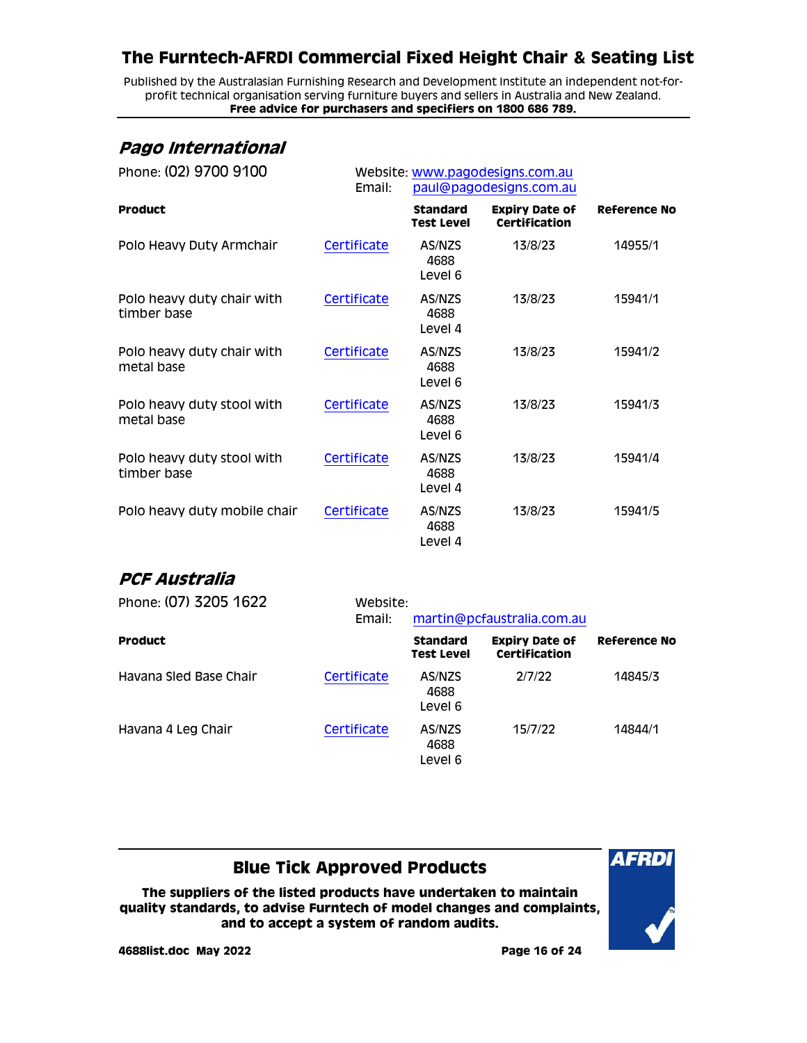Published by the Australasian Furnishing Research and Development Institute an independent not-forprofit technical organisation serving furniture buyers and sellers in Australia and New Zealand. **Free advice for purchasers and specifiers on 1800 686 789.**

#### <span id="page-15-0"></span>**Pago International**

| Phone: (02) 9700 9100                     | Email:      | Website: www.pagodesigns.com.au<br>paul@pagodesigns.com.au |                                               |                     |
|-------------------------------------------|-------------|------------------------------------------------------------|-----------------------------------------------|---------------------|
| <b>Product</b>                            |             | <b>Standard</b><br>Test Level                              | <b>Expiry Date of</b><br><b>Certification</b> | <b>Reference No</b> |
| Polo Heavy Duty Armchair                  | Certificate | AS/NZS<br>4688<br>Level 6                                  | 13/8/23                                       | 14955/1             |
| Polo heavy duty chair with<br>timber base | Certificate | AS/NZS<br>4688<br>Level 4                                  | 13/8/23                                       | 15941/1             |
| Polo heavy duty chair with<br>metal base  | Certificate | AS/NZS<br>4688<br>Level 6                                  | 13/8/23                                       | 15941/2             |
| Polo heavy duty stool with<br>metal base  | Certificate | AS/NZS<br>4688<br>Level 6                                  | 13/8/23                                       | 15941/3             |
| Polo heavy duty stool with<br>timber base | Certificate | AS/NZS<br>4688<br>Level 4                                  | 13/8/23                                       | 15941/4             |
| Polo heavy duty mobile chair              | Certificate | AS/NZS<br>4688<br>Level 4                                  | 13/8/23                                       | 15941/5             |

### <span id="page-15-1"></span>**PCF Australia**

| Phone: (07) 3205 1622  | Website:<br>Email: |                               | martin@pcfaustralia.com.au             |                     |
|------------------------|--------------------|-------------------------------|----------------------------------------|---------------------|
| <b>Product</b>         |                    | <b>Standard</b><br>Test Level | <b>Expiry Date of</b><br>Certification | <b>Reference No</b> |
| Havana Sled Base Chair | Certificate        | AS/NZS<br>4688<br>Level 6     | 2/7/22                                 | 14845/3             |
| Havana 4 Leg Chair     | Certificate        | AS/NZS<br>4688<br>Level 6     | 15/7/22                                | 14844/1             |

#### **Blue Tick Approved Products**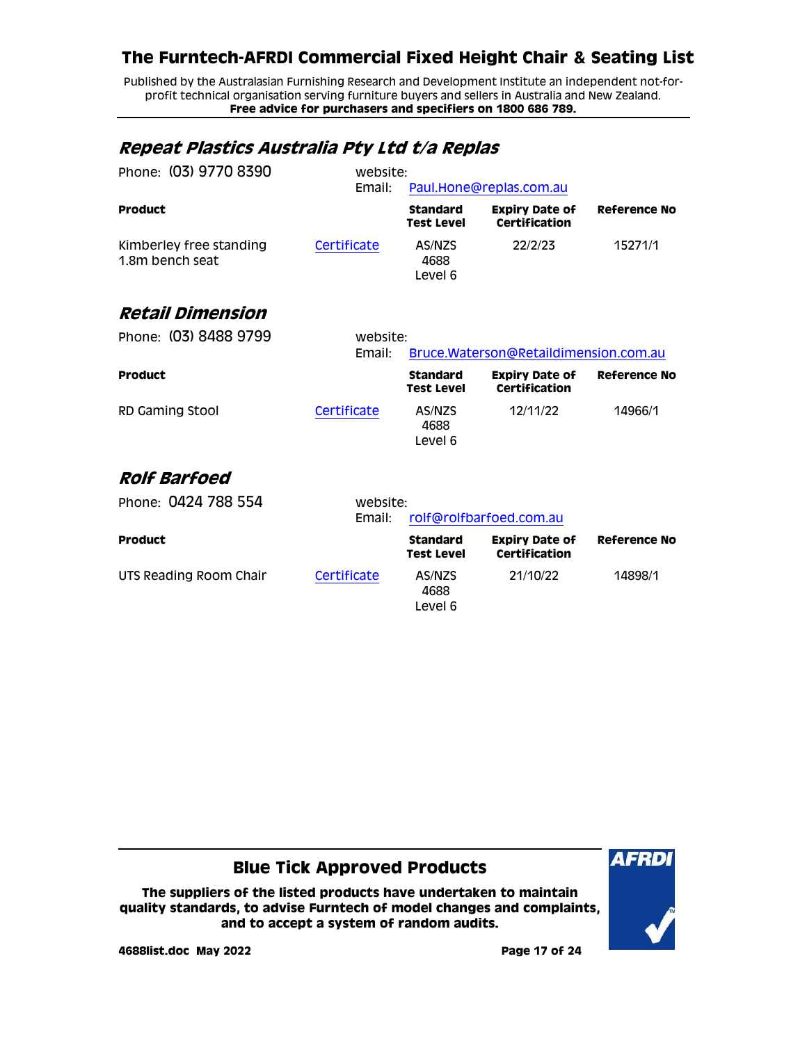Published by the Australasian Furnishing Research and Development Institute an independent not-forprofit technical organisation serving furniture buyers and sellers in Australia and New Zealand. **Free advice for purchasers and specifiers on 1800 686 789.**

### <span id="page-16-0"></span>**Repeat Plastics Australia Pty Ltd t/a Replas**

<span id="page-16-2"></span><span id="page-16-1"></span>

| Phone: (03) 9770 8390                      | website:<br>Email: |                                      | Paul.Hone@replas.com.au                       |                     |
|--------------------------------------------|--------------------|--------------------------------------|-----------------------------------------------|---------------------|
| <b>Product</b>                             |                    | <b>Standard</b><br><b>Test Level</b> | <b>Expiry Date of</b><br><b>Certification</b> | <b>Reference No</b> |
| Kimberley free standing<br>1.8m bench seat | Certificate        | AS/NZS<br>4688<br>Level 6            | 22/2/23                                       | 15271/1             |
| <b>Retail Dimension</b>                    |                    |                                      |                                               |                     |
| Phone: (03) 8488 9799                      | website:           |                                      |                                               |                     |
|                                            | Email:             |                                      | Bruce.Waterson@Retaildimension.com.au         |                     |
| <b>Product</b>                             |                    | <b>Standard</b><br><b>Test Level</b> | <b>Expiry Date of</b><br>Certification        | Reference No        |
| <b>RD Gaming Stool</b>                     | Certificate        | AS/NZS<br>4688<br>Level 6            | 12/11/22                                      | 14966/1             |
| <b>Rolf Barfoed</b>                        |                    |                                      |                                               |                     |
| Phone: 0424 788 554                        | website:<br>Email: |                                      | rolf@rolfbarfoed.com.au                       |                     |
| <b>Product</b>                             |                    | <b>Standard</b><br><b>Test Level</b> | <b>Expiry Date of</b><br><b>Certification</b> | <b>Reference No</b> |
| UTS Reading Room Chair                     | Certificate        | AS/NZS<br>4688<br>Level 6            | 21/10/22                                      | 14898/1             |

#### **Blue Tick Approved Products**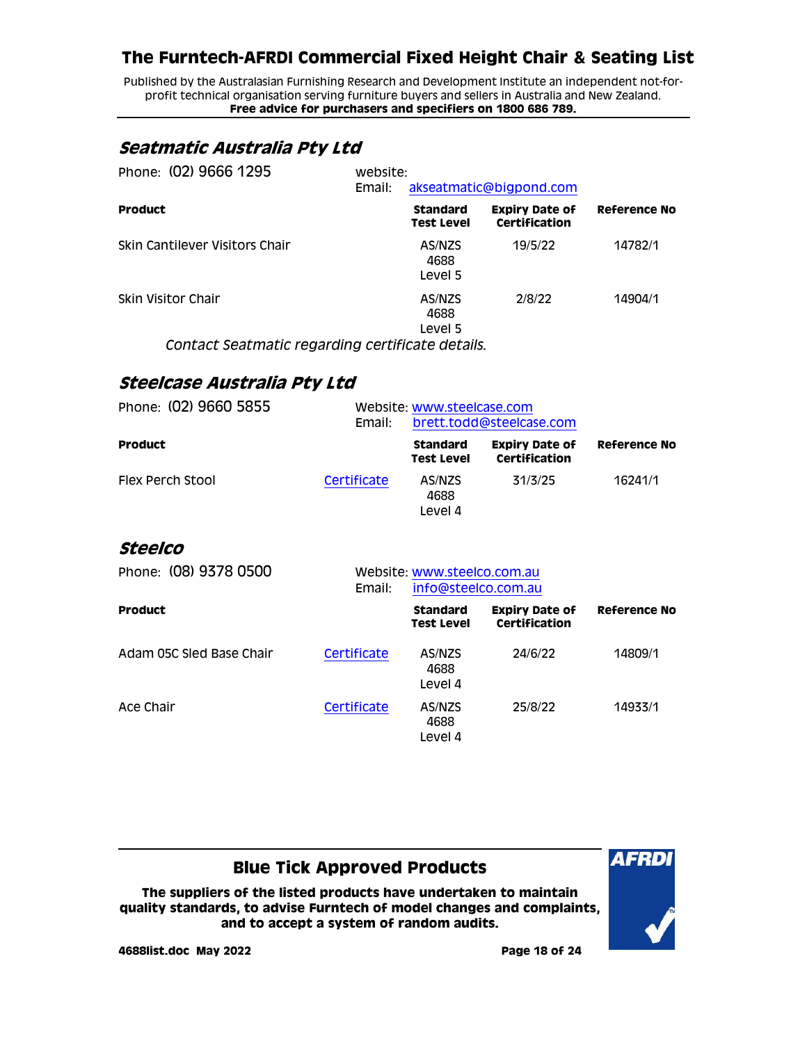Published by the Australasian Furnishing Research and Development Institute an independent not-forprofit technical organisation serving furniture buyers and sellers in Australia and New Zealand. **Free advice for purchasers and specifiers on 1800 686 789.**

#### <span id="page-17-0"></span>**Seatmatic Australia Pty Ltd**

| Phone: (02) 9666 1295                            | website:<br>Email: |                               | akseatmatic@bigpond.com                |              |  |
|--------------------------------------------------|--------------------|-------------------------------|----------------------------------------|--------------|--|
| <b>Product</b>                                   |                    | <b>Standard</b><br>Test Level | <b>Expiry Date of</b><br>Certification | Reference No |  |
| Skin Cantilever Visitors Chair                   |                    | AS/NZS<br>4688<br>Level 5     | 19/5/22                                | 14782/1      |  |
| Skin Visitor Chair                               |                    | AS/NZS<br>4688<br>Level 5     | 2/8/22                                 | 14904/1      |  |
| Contact Seatmatic regarding certificate details. |                    |                               |                                        |              |  |

#### <span id="page-17-1"></span>**Steelcase Australia Pty Ltd**

| Phone: (02) 9660 5855 | Email:      |                                      | Website: www.steelcase.com<br>brett.todd@steelcase.com |              |
|-----------------------|-------------|--------------------------------------|--------------------------------------------------------|--------------|
| <b>Product</b>        |             | <b>Standard</b><br><b>Test Level</b> | <b>Expiry Date of</b><br>Certification                 | Reference No |
| Flex Perch Stool      | Certificate | AS/NZS<br>4688<br>Level 4            | 31/3/25                                                | 16241/1      |

#### <span id="page-17-2"></span>**Steelco**

| Phone: (08) 9378 0500    | Email:      | Website: www.steelco.com.au          | info@steelco.com.au                    |              |  |
|--------------------------|-------------|--------------------------------------|----------------------------------------|--------------|--|
| <b>Product</b>           |             | <b>Standard</b><br><b>Test Level</b> | <b>Expiry Date of</b><br>Certification | Reference No |  |
| Adam 05C Sled Base Chair | Certificate | AS/NZS<br>4688<br>Level 4            | 24/6/22                                | 14809/1      |  |
| Ace Chair                | Certificate | AS/NZS<br>4688<br>Level 4            | 25/8/22                                | 14933/1      |  |

#### **Blue Tick Approved Products**

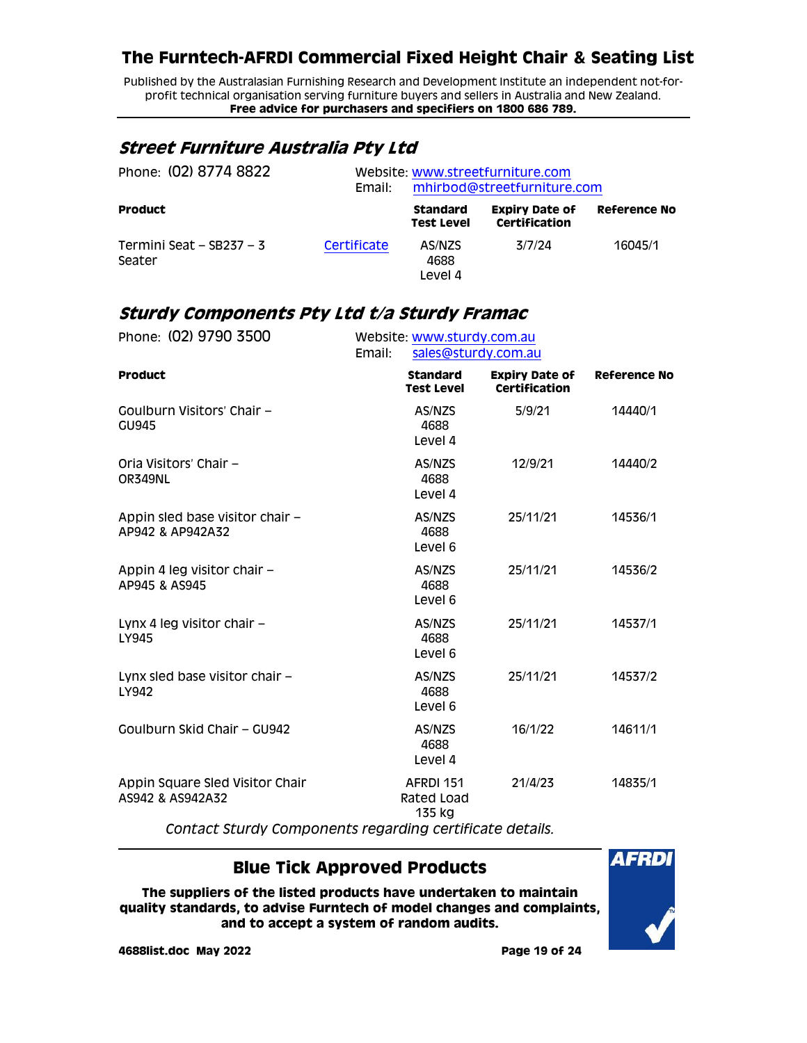Published by the Australasian Furnishing Research and Development Institute an independent not-forprofit technical organisation serving furniture buyers and sellers in Australia and New Zealand. **Free advice for purchasers and specifiers on 1800 686 789.**

### <span id="page-18-0"></span>**Street Furniture Australia Pty Ltd**

| Phone: (02) 8774 8822              | Email:      | Website: www.streetfurniture.com<br>mhirbod@streetfurniture.com |                                        |                     |
|------------------------------------|-------------|-----------------------------------------------------------------|----------------------------------------|---------------------|
| <b>Product</b>                     |             | <b>Standard</b><br><b>Test Level</b>                            | <b>Expiry Date of</b><br>Certification | <b>Reference No</b> |
| Termini Seat - SB237 - 3<br>Seater | Certificate | AS/NZS<br>4688<br>Level 4                                       | 3/7/24                                 | 16045/1             |

#### <span id="page-18-1"></span>**Sturdy Components Pty Ltd t/a Sturdy Framac**

| Phone: (02) 9790 3500                               | Email: | Website: www.sturdy.com.au<br>sales@sturdy.com.au |                                               |                     |  |  |
|-----------------------------------------------------|--------|---------------------------------------------------|-----------------------------------------------|---------------------|--|--|
| <b>Product</b>                                      |        | <b>Standard</b><br><b>Test Level</b>              | <b>Expiry Date of</b><br><b>Certification</b> | <b>Reference No</b> |  |  |
| Goulburn Visitors' Chair -<br>GU945                 |        | AS/NZS<br>4688<br>Level 4                         | 5/9/21                                        | 14440/1             |  |  |
| Oria Visitors' Chair -<br>OR349NL                   |        | AS/NZS<br>4688<br>Level 4                         | 12/9/21                                       | 14440/2             |  |  |
| Appin sled base visitor chair -<br>AP942 & AP942A32 |        | AS/NZS<br>4688<br>Level 6                         | 25/11/21                                      | 14536/1             |  |  |
| Appin 4 leg visitor chair -<br>AP945 & AS945        |        | AS/NZS<br>4688<br>Level 6                         | 25/11/21                                      | 14536/2             |  |  |
| Lynx 4 leg visitor chair $-$<br>LY945               |        | AS/NZS<br>4688<br>Level 6                         | 25/11/21                                      | 14537/1             |  |  |
| Lynx sled base visitor chair -<br>LY942             |        | AS/NZS<br>4688<br>Level 6                         | 25/11/21                                      | 14537/2             |  |  |
| Goulburn Skid Chair - GU942                         |        | AS/NZS<br>4688<br>Level 4                         | 16/1/22                                       | 14611/1             |  |  |
| Appin Square Sled Visitor Chair<br>AS942 & AS942A32 |        | AFRDI 151<br>Rated Load<br>135 kg                 | 21/4/23                                       | 14835/1             |  |  |

*Contact Sturdy Components regarding certificate details.*

### **Blue Tick Approved Products**

**The suppliers of the listed products have undertaken to maintain quality standards, to advise Furntech of model changes and complaints, and to accept a system of random audits.**



**4688list.doc May 2022 Page 19 of 24**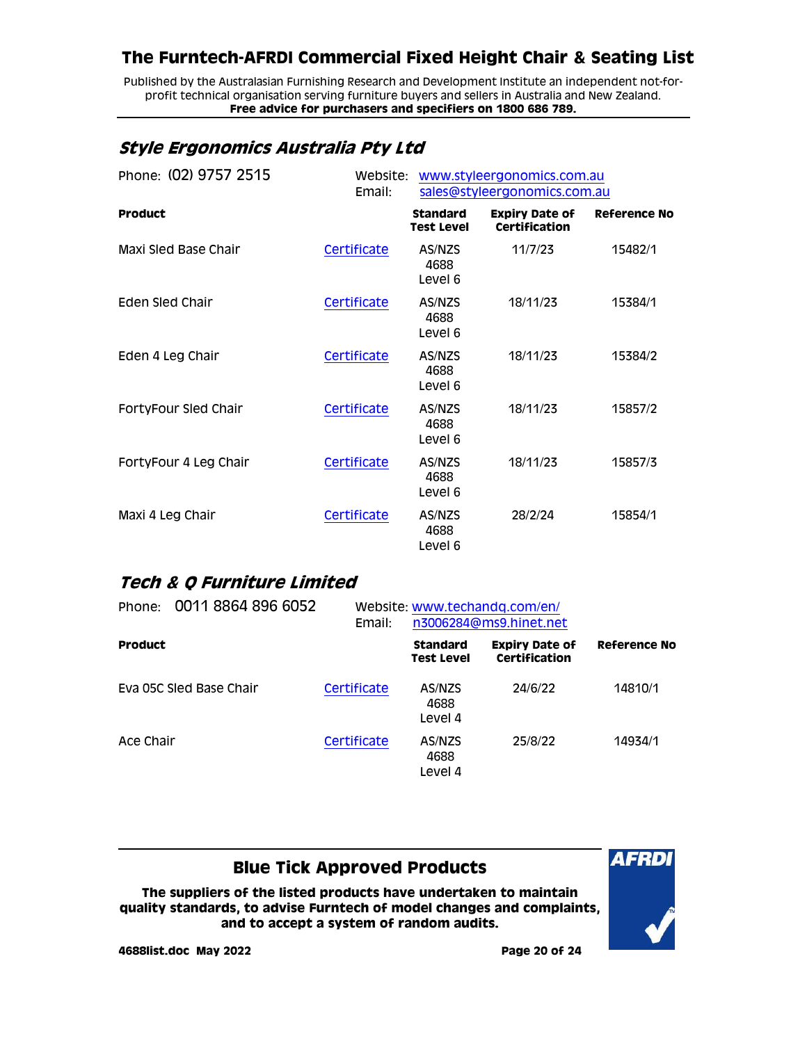Published by the Australasian Furnishing Research and Development Institute an independent not-forprofit technical organisation serving furniture buyers and sellers in Australia and New Zealand. **Free advice for purchasers and specifiers on 1800 686 789.**

### <span id="page-19-0"></span>**Style Ergonomics Australia Pty Ltd**

| Phone: (02) 9757 2515 | Website:<br>Email: | www.styleergonomics.com.au<br>sales@styleergonomics.com.au |                                               |                     |
|-----------------------|--------------------|------------------------------------------------------------|-----------------------------------------------|---------------------|
| <b>Product</b>        |                    | <b>Standard</b><br><b>Test Level</b>                       | <b>Expiry Date of</b><br><b>Certification</b> | <b>Reference No</b> |
| Maxi Sled Base Chair  | Certificate        | AS/NZS<br>4688<br>Level 6                                  | 11/7/23                                       | 15482/1             |
| Eden Sled Chair       | Certificate        | AS/NZS<br>4688<br>Level 6                                  | 18/11/23                                      | 15384/1             |
| Eden 4 Leg Chair      | Certificate        | AS/NZS<br>4688<br>Level 6                                  | 18/11/23                                      | 15384/2             |
| FortyFour Sled Chair  | Certificate        | AS/NZS<br>4688<br>Level 6                                  | 18/11/23                                      | 15857/2             |
| FortyFour 4 Leg Chair | Certificate        | AS/NZS<br>4688<br>Level 6                                  | 18/11/23                                      | 15857/3             |
| Maxi 4 Leg Chair      | Certificate        | AS/NZS<br>4688<br>Level 6                                  | 28/2/24                                       | 15854/1             |

### <span id="page-19-1"></span>**Tech & Q Furniture Limited**

| Phone: 0011 8864 896 6052 |                         | Email:      | Website: www.techandq.com/en/<br>n3006284@ms9.hinet.net |                                        |                     |
|---------------------------|-------------------------|-------------|---------------------------------------------------------|----------------------------------------|---------------------|
| <b>Product</b>            |                         |             | <b>Standard</b><br><b>Test Level</b>                    | <b>Expiry Date of</b><br>Certification | <b>Reference No</b> |
|                           | Eva 05C Sled Base Chair | Certificate | AS/NZS<br>4688<br>Level 4                               | 24/6/22                                | 14810/1             |
| Ace Chair                 |                         | Certificate | AS/NZS<br>4688<br>Level 4                               | 25/8/22                                | 14934/1             |

#### **Blue Tick Approved Products**

**The suppliers of the listed products have undertaken to maintain quality standards, to advise Furntech of model changes and complaints, and to accept a system of random audits.**

**AFRDI**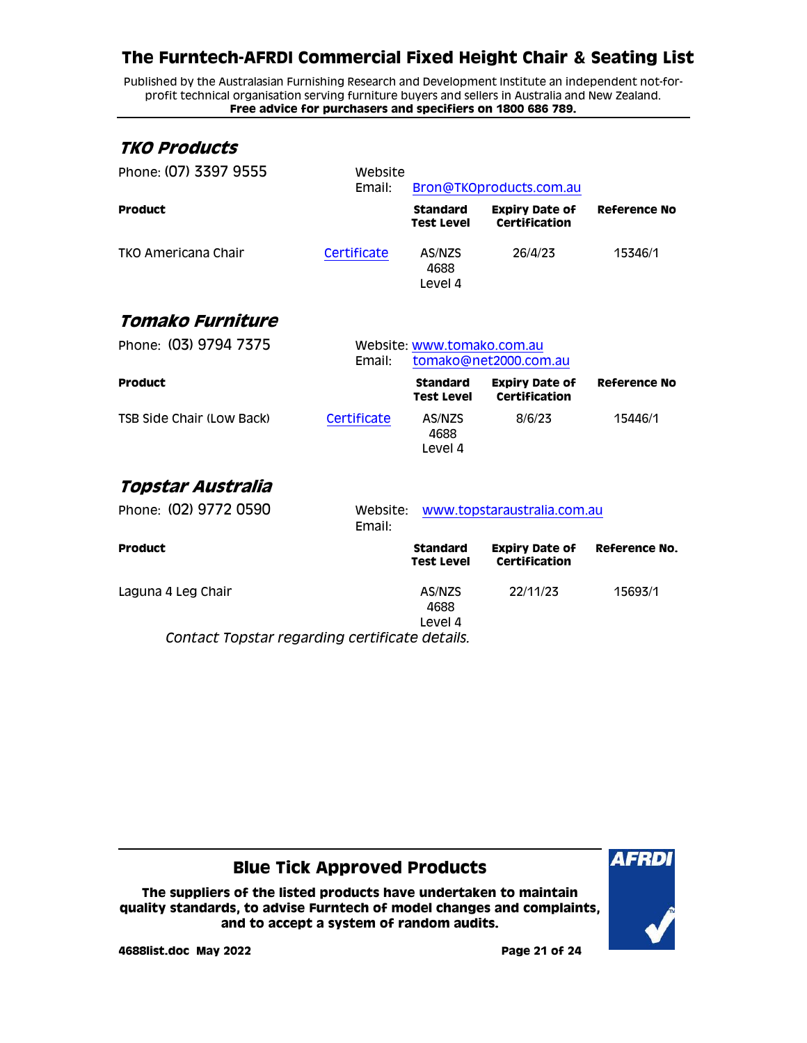Published by the Australasian Furnishing Research and Development Institute an independent not-forprofit technical organisation serving furniture buyers and sellers in Australia and New Zealand. **Free advice for purchasers and specifiers on 1800 686 789.**

<span id="page-20-2"></span><span id="page-20-1"></span><span id="page-20-0"></span>

| TKO Products                                   |                    |                                      |                                               |                     |
|------------------------------------------------|--------------------|--------------------------------------|-----------------------------------------------|---------------------|
| Phone: (07) 3397 9555                          | Website            |                                      |                                               |                     |
|                                                | Email:             |                                      | Bron@TKOproducts.com.au                       |                     |
| <b>Product</b>                                 |                    | <b>Standard</b><br><b>Test Level</b> | <b>Expiry Date of</b><br>Certification        | <b>Reference No</b> |
| TKO Americana Chair                            | Certificate        | AS/NZS<br>4688<br>Level 4            | 26/4/23                                       | 15346/1             |
| Tomako Furniture                               |                    |                                      |                                               |                     |
| Phone: (03) 9794 7375                          | Email:             | Website: www.tomako.com.au           | tomako@net2000.com.au                         |                     |
| <b>Product</b>                                 |                    | <b>Standard</b><br><b>Test Level</b> | <b>Expiry Date of</b><br><b>Certification</b> | <b>Reference No</b> |
| <b>TSB Side Chair (Low Back)</b>               | Certificate        | AS/NZS<br>4688<br>Level 4            | 8/6/23                                        | 15446/1             |
| Topstar Australia                              |                    |                                      |                                               |                     |
| Phone: (02) 9772 0590                          | Website:<br>Email: |                                      | www.topstaraustralia.com.au                   |                     |
| <b>Product</b>                                 |                    | <b>Standard</b><br><b>Test Level</b> | <b>Expiry Date of</b><br><b>Certification</b> | Reference No.       |
| Laguna 4 Leg Chair                             |                    | AS/NZS<br>4688<br>Level 4            | 22/11/23                                      | 15693/1             |
| Contact Topstar regarding certificate details. |                    |                                      |                                               |                     |

**Blue Tick Approved Products**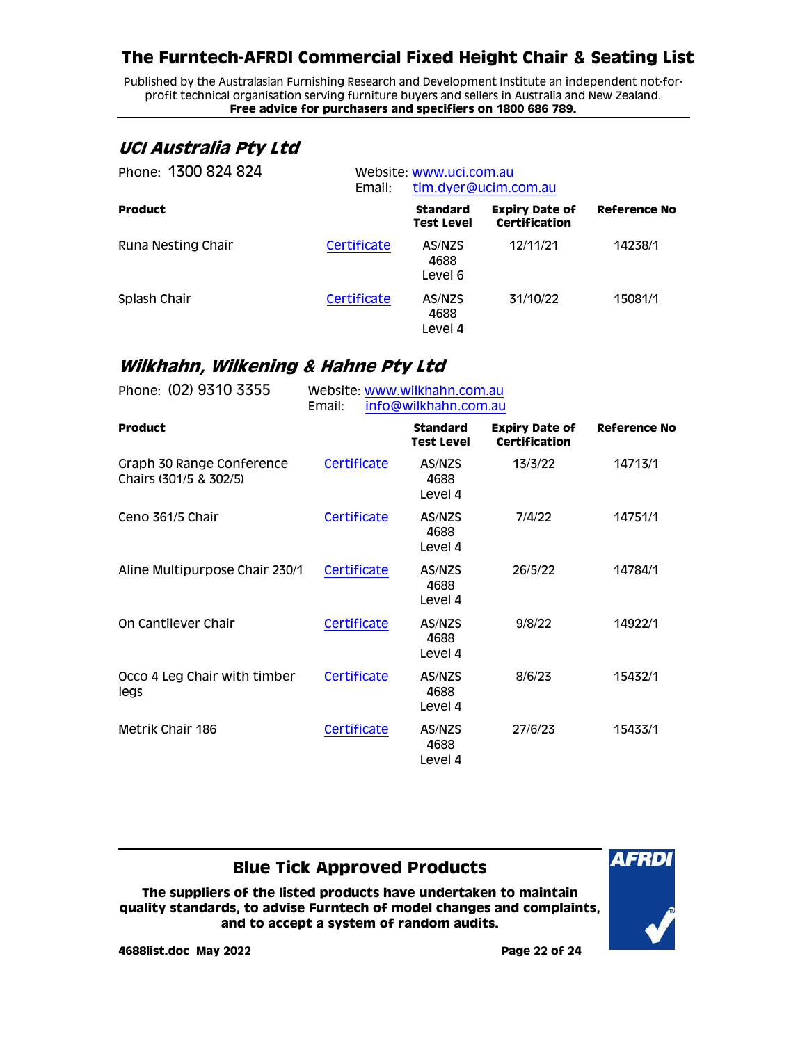Published by the Australasian Furnishing Research and Development Institute an independent not-forprofit technical organisation serving furniture buyers and sellers in Australia and New Zealand. **Free advice for purchasers and specifiers on 1800 686 789.**

### <span id="page-21-0"></span>**UCI Australia Pty Ltd**

| Phone: 1300 824 824 | Email:      | Website: www.uci.com.au<br>tim.dyer@ucim.com.au |                                        |              |
|---------------------|-------------|-------------------------------------------------|----------------------------------------|--------------|
| <b>Product</b>      |             | <b>Standard</b><br><b>Test Level</b>            | <b>Expiry Date of</b><br>Certification | Reference No |
| Runa Nesting Chair  | Certificate | AS/NZS<br>4688<br>Level 6                       | 12/11/21                               | 14238/1      |
| Splash Chair        | Certificate | AS/NZS<br>4688<br>Level 4                       | 31/10/22                               | 15081/1      |

### <span id="page-21-1"></span>**Wilkhahn, Wilkening & Hahne Pty Ltd**

| Phone: (02) 9310 3355                               | Website: www.wilkhahn.com.au<br>info@wilkhahn.com.au<br>Email: |                                      |                                        |                     |  |
|-----------------------------------------------------|----------------------------------------------------------------|--------------------------------------|----------------------------------------|---------------------|--|
| <b>Product</b>                                      |                                                                | <b>Standard</b><br><b>Test Level</b> | <b>Expiry Date of</b><br>Certification | <b>Reference No</b> |  |
| Graph 30 Range Conference<br>Chairs (301/5 & 302/5) | Certificate                                                    | AS/NZS<br>4688<br>Level 4            | 13/3/22                                | 14713/1             |  |
| Ceno 361/5 Chair                                    | Certificate                                                    | AS/NZS<br>4688<br>Level 4            | 7/4/22                                 | 14751/1             |  |
| Aline Multipurpose Chair 230/1                      | Certificate                                                    | AS/NZS<br>4688<br>Level 4            | 26/5/22                                | 14784/1             |  |
| On Cantilever Chair                                 | Certificate                                                    | AS/NZS<br>4688<br>Level 4            | 9/8/22                                 | 14922/1             |  |
| Occo 4 Leg Chair with timber<br>legs                | Certificate                                                    | AS/NZS<br>4688<br>Level 4            | 8/6/23                                 | 15432/1             |  |
| Metrik Chair 186                                    | Certificate                                                    | AS/NZS<br>4688<br>Level 4            | 27/6/23                                | 15433/1             |  |

#### **Blue Tick Approved Products**

**The suppliers of the listed products have undertaken to maintain quality standards, to advise Furntech of model changes and complaints, and to accept a system of random audits.**

**4688list.doc May 2022 Page 22 of 24**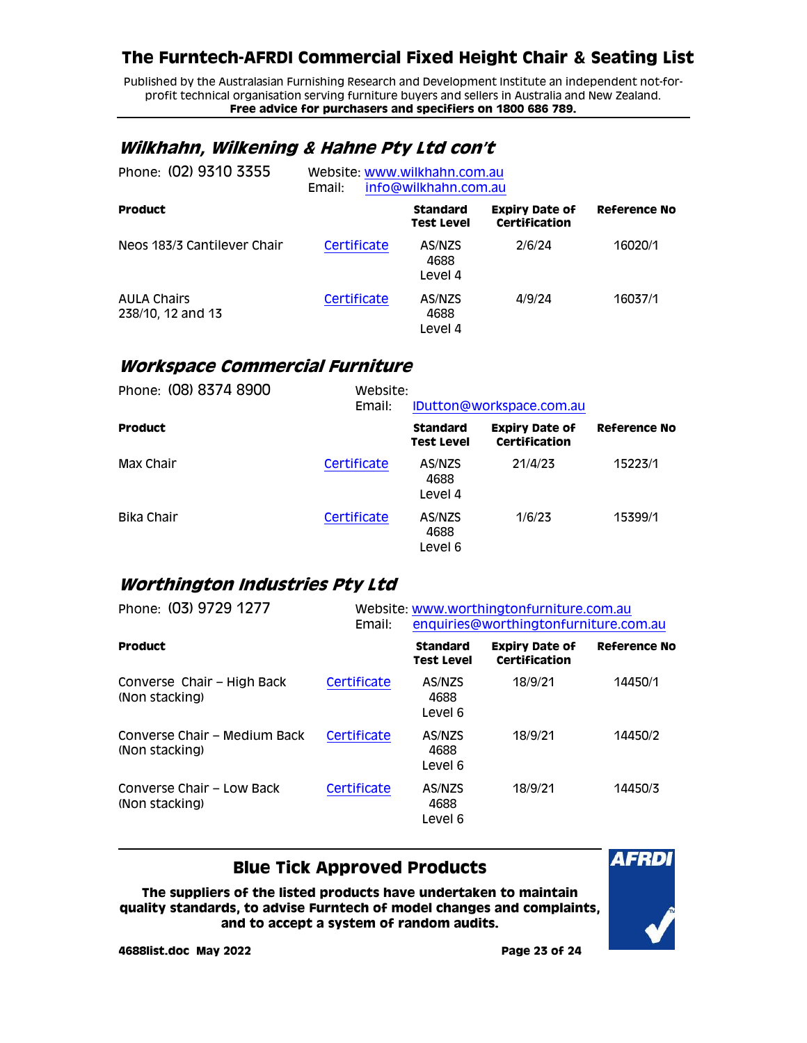Published by the Australasian Furnishing Research and Development Institute an independent not-forprofit technical organisation serving furniture buyers and sellers in Australia and New Zealand. **Free advice for purchasers and specifiers on 1800 686 789.**

### <span id="page-22-0"></span>**Wilkhahn, Wilkening & Hahne Pty Ltd con't**

| Phone: (02) 9310 3355                   | Website: www.wilkhahn.com.au<br>Email: | info@wilkhahn.com.au                 |                                        |              |
|-----------------------------------------|----------------------------------------|--------------------------------------|----------------------------------------|--------------|
| <b>Product</b>                          |                                        | <b>Standard</b><br><b>Test Level</b> | <b>Expiry Date of</b><br>Certification | Reference No |
| Neos 183/3 Cantilever Chair             | Certificate                            | AS/NZS<br>4688<br>Level 4            | 2/6/24                                 | 16020/1      |
| <b>AULA Chairs</b><br>238/10, 12 and 13 | Certificate                            | AS/NZS<br>4688<br>Level 4            | 4/9/24                                 | 16037/1      |

#### <span id="page-22-1"></span>**Workspace Commercial Furniture**

| Phone: (08) 8374 8900 | Website:<br>Email: | IDutton@workspace.com.au             |                                        |              |
|-----------------------|--------------------|--------------------------------------|----------------------------------------|--------------|
| <b>Product</b>        |                    | <b>Standard</b><br><b>Test Level</b> | <b>Expiry Date of</b><br>Certification | Reference No |
| Max Chair             | Certificate        | AS/NZS<br>4688<br>Level 4            | 21/4/23                                | 15223/1      |
| Bika Chair            | Certificate        | AS/NZS<br>4688<br>Level 6            | 1/6/23                                 | 15399/1      |

### <span id="page-22-2"></span>**Worthington Industries Pty Ltd**

| Phone: (03) 9729 1277                          | Email:      | Website: www.worthingtonfurniture.com.au<br>enquiries@worthingtonfurniture.com.au |                                        |                     |
|------------------------------------------------|-------------|-----------------------------------------------------------------------------------|----------------------------------------|---------------------|
| <b>Product</b>                                 |             | <b>Standard</b><br><b>Test Level</b>                                              | <b>Expiry Date of</b><br>Certification | <b>Reference No</b> |
| Converse Chair - High Back<br>(Non stacking)   | Certificate | AS/NZS<br>4688<br>Level 6                                                         | 18/9/21                                | 14450/1             |
| Converse Chair - Medium Back<br>(Non stacking) | Certificate | AS/NZS<br>4688<br>Level 6                                                         | 18/9/21                                | 14450/2             |
| Converse Chair - Low Back<br>(Non stacking)    | Certificate | AS/NZS<br>4688<br>Level 6                                                         | 18/9/21                                | 14450/3             |

#### **Blue Tick Approved Products**